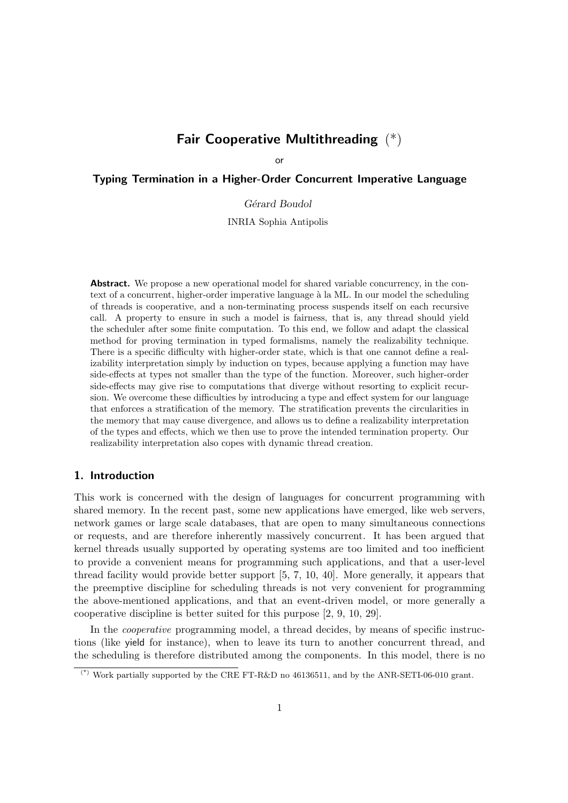# Fair Cooperative Multithreading (\*)

or

# Typing Termination in a Higher-Order Concurrent Imperative Language

Gérard Boudol

INRIA Sophia Antipolis

Abstract. We propose a new operational model for shared variable concurrency, in the context of a concurrent, higher-order imperative language à la ML. In our model the scheduling of threads is cooperative, and a non-terminating process suspends itself on each recursive call. A property to ensure in such a model is fairness, that is, any thread should yield the scheduler after some finite computation. To this end, we follow and adapt the classical method for proving termination in typed formalisms, namely the realizability technique. There is a specific difficulty with higher-order state, which is that one cannot define a realizability interpretation simply by induction on types, because applying a function may have side-effects at types not smaller than the type of the function. Moreover, such higher-order side-effects may give rise to computations that diverge without resorting to explicit recursion. We overcome these difficulties by introducing a type and effect system for our language that enforces a stratification of the memory. The stratification prevents the circularities in the memory that may cause divergence, and allows us to define a realizability interpretation of the types and effects, which we then use to prove the intended termination property. Our realizability interpretation also copes with dynamic thread creation.

# 1. Introduction

This work is concerned with the design of languages for concurrent programming with shared memory. In the recent past, some new applications have emerged, like web servers, network games or large scale databases, that are open to many simultaneous connections or requests, and are therefore inherently massively concurrent. It has been argued that kernel threads usually supported by operating systems are too limited and too inefficient to provide a convenient means for programming such applications, and that a user-level thread facility would provide better support [5, 7, 10, 40]. More generally, it appears that the preemptive discipline for scheduling threads is not very convenient for programming the above-mentioned applications, and that an event-driven model, or more generally a cooperative discipline is better suited for this purpose [2, 9, 10, 29].

In the cooperative programming model, a thread decides, by means of specific instructions (like yield for instance), when to leave its turn to another concurrent thread, and the scheduling is therefore distributed among the components. In this model, there is no

<sup>&</sup>lt;sup>(\*)</sup> Work partially supported by the CRE FT-R&D no 46136511, and by the ANR-SETI-06-010 grant.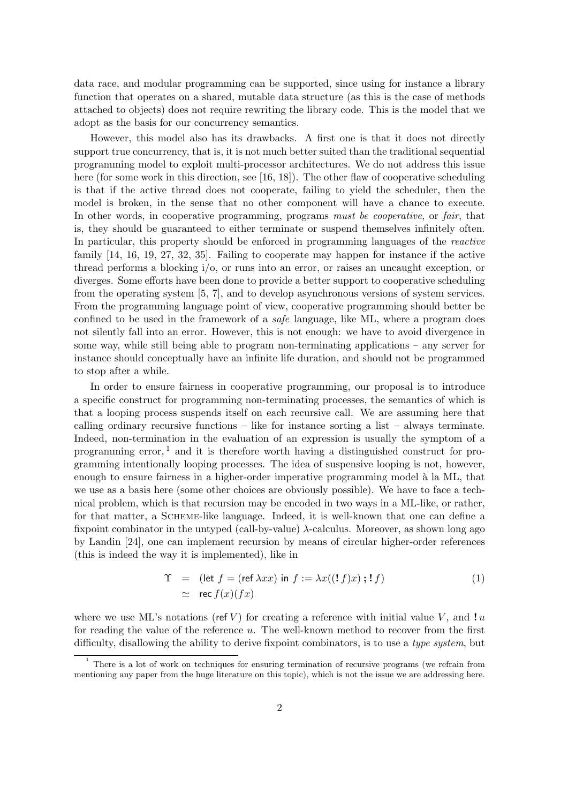data race, and modular programming can be supported, since using for instance a library function that operates on a shared, mutable data structure (as this is the case of methods attached to objects) does not require rewriting the library code. This is the model that we adopt as the basis for our concurrency semantics.

However, this model also has its drawbacks. A first one is that it does not directly support true concurrency, that is, it is not much better suited than the traditional sequential programming model to exploit multi-processor architectures. We do not address this issue here (for some work in this direction, see [16, 18]). The other flaw of cooperative scheduling is that if the active thread does not cooperate, failing to yield the scheduler, then the model is broken, in the sense that no other component will have a chance to execute. In other words, in cooperative programming, programs must be cooperative, or fair, that is, they should be guaranteed to either terminate or suspend themselves infinitely often. In particular, this property should be enforced in programming languages of the reactive family [14, 16, 19, 27, 32, 35]. Failing to cooperate may happen for instance if the active thread performs a blocking i/o, or runs into an error, or raises an uncaught exception, or diverges. Some efforts have been done to provide a better support to cooperative scheduling from the operating system [5, 7], and to develop asynchronous versions of system services. From the programming language point of view, cooperative programming should better be confined to be used in the framework of a safe language, like ML, where a program does not silently fall into an error. However, this is not enough: we have to avoid divergence in some way, while still being able to program non-terminating applications – any server for instance should conceptually have an infinite life duration, and should not be programmed to stop after a while.

In order to ensure fairness in cooperative programming, our proposal is to introduce a specific construct for programming non-terminating processes, the semantics of which is that a looping process suspends itself on each recursive call. We are assuming here that calling ordinary recursive functions  $-$  like for instance sorting a list  $-$  always terminate. Indeed, non-termination in the evaluation of an expression is usually the symptom of a programming error,  $\frac{1}{1}$  and it is therefore worth having a distinguished construct for programming intentionally looping processes. The idea of suspensive looping is not, however, enough to ensure fairness in a higher-order imperative programming model à la ML, that we use as a basis here (some other choices are obviously possible). We have to face a technical problem, which is that recursion may be encoded in two ways in a ML-like, or rather, for that matter, a SCHEME-like language. Indeed, it is well-known that one can define a fixpoint combinator in the untyped (call-by-value)  $\lambda$ -calculus. Moreover, as shown long ago by Landin [24], one can implement recursion by means of circular higher-order references (this is indeed the way it is implemented), like in

$$
\begin{aligned}\n\Upsilon &= (\text{let } f = (\text{ref } \lambda xx) \text{ in } f := \lambda x ((\mathbf{1}f)x) ; \mathbf{1}f) \\
&\simeq \text{rec } f(x)(fx)\n\end{aligned}\n\tag{1}
$$

where we use ML's notations (ref V) for creating a reference with initial value V, and  $\mu$ for reading the value of the reference u. The well-known method to recover from the first difficulty, disallowing the ability to derive fixpoint combinators, is to use a type system, but

<sup>&</sup>lt;sup>1</sup> There is a lot of work on techniques for ensuring termination of recursive programs (we refrain from mentioning any paper from the huge literature on this topic), which is not the issue we are addressing here.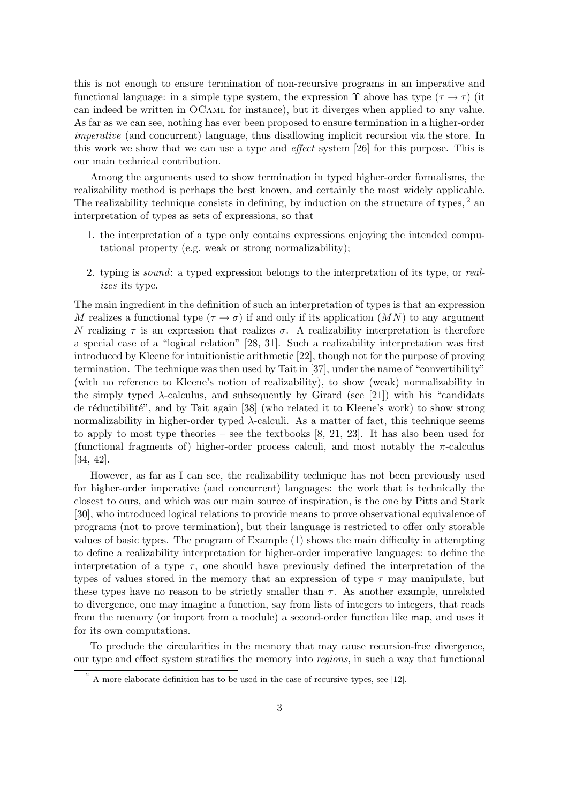this is not enough to ensure termination of non-recursive programs in an imperative and functional language: in a simple type system, the expression  $\Upsilon$  above has type  $(\tau \to \tau)$  (it can indeed be written in OCaml for instance), but it diverges when applied to any value. As far as we can see, nothing has ever been proposed to ensure termination in a higher-order imperative (and concurrent) language, thus disallowing implicit recursion via the store. In this work we show that we can use a type and effect system [26] for this purpose. This is our main technical contribution.

Among the arguments used to show termination in typed higher-order formalisms, the realizability method is perhaps the best known, and certainly the most widely applicable. The realizability technique consists in defining, by induction on the structure of types,  $2$  and interpretation of types as sets of expressions, so that

- 1. the interpretation of a type only contains expressions enjoying the intended computational property (e.g. weak or strong normalizability);
- 2. typing is sound: a typed expression belongs to the interpretation of its type, or realizes its type.

The main ingredient in the definition of such an interpretation of types is that an expression M realizes a functional type  $(\tau \to \sigma)$  if and only if its application  $(MN)$  to any argument N realizing  $\tau$  is an expression that realizes  $\sigma$ . A realizability interpretation is therefore a special case of a "logical relation" [28, 31]. Such a realizability interpretation was first introduced by Kleene for intuitionistic arithmetic [22], though not for the purpose of proving termination. The technique was then used by Tait in [37], under the name of "convertibility" (with no reference to Kleene's notion of realizability), to show (weak) normalizability in the simply typed  $\lambda$ -calculus, and subsequently by Girard (see [21]) with his "candidats de réductibilité", and by Tait again [38] (who related it to Kleene's work) to show strong normalizability in higher-order typed  $\lambda$ -calculi. As a matter of fact, this technique seems to apply to most type theories – see the textbooks  $[8, 21, 23]$ . It has also been used for (functional fragments of) higher-order process calculi, and most notably the  $\pi$ -calculus [34, 42].

However, as far as I can see, the realizability technique has not been previously used for higher-order imperative (and concurrent) languages: the work that is technically the closest to ours, and which was our main source of inspiration, is the one by Pitts and Stark [30], who introduced logical relations to provide means to prove observational equivalence of programs (not to prove termination), but their language is restricted to offer only storable values of basic types. The program of Example (1) shows the main difficulty in attempting to define a realizability interpretation for higher-order imperative languages: to define the interpretation of a type  $\tau$ , one should have previously defined the interpretation of the types of values stored in the memory that an expression of type  $\tau$  may manipulate, but these types have no reason to be strictly smaller than  $\tau$ . As another example, unrelated to divergence, one may imagine a function, say from lists of integers to integers, that reads from the memory (or import from a module) a second-order function like map, and uses it for its own computations.

To preclude the circularities in the memory that may cause recursion-free divergence, our type and effect system stratifies the memory into regions, in such a way that functional

 $2^2$  A more elaborate definition has to be used in the case of recursive types, see [12].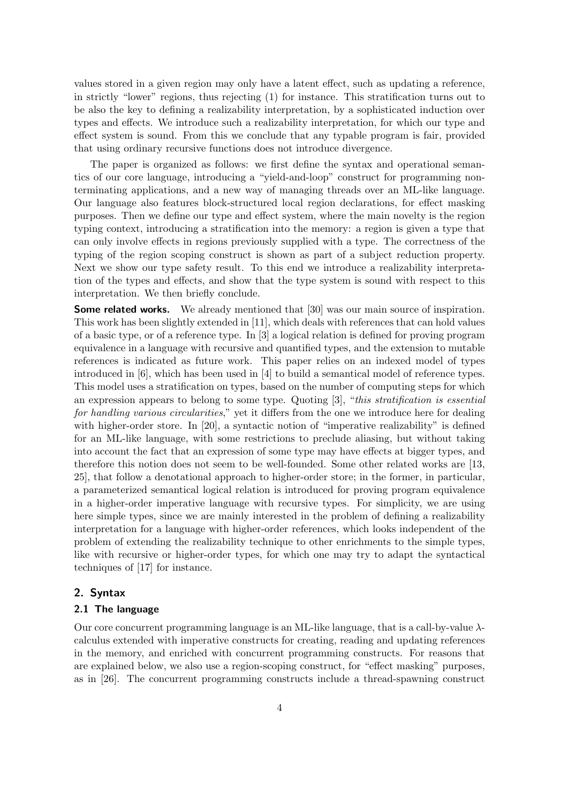values stored in a given region may only have a latent effect, such as updating a reference, in strictly "lower" regions, thus rejecting (1) for instance. This stratification turns out to be also the key to defining a realizability interpretation, by a sophisticated induction over types and effects. We introduce such a realizability interpretation, for which our type and effect system is sound. From this we conclude that any typable program is fair, provided that using ordinary recursive functions does not introduce divergence.

The paper is organized as follows: we first define the syntax and operational semantics of our core language, introducing a "yield-and-loop" construct for programming nonterminating applications, and a new way of managing threads over an ML-like language. Our language also features block-structured local region declarations, for effect masking purposes. Then we define our type and effect system, where the main novelty is the region typing context, introducing a stratification into the memory: a region is given a type that can only involve effects in regions previously supplied with a type. The correctness of the typing of the region scoping construct is shown as part of a subject reduction property. Next we show our type safety result. To this end we introduce a realizability interpretation of the types and effects, and show that the type system is sound with respect to this interpretation. We then briefly conclude.

**Some related works.** We already mentioned that [30] was our main source of inspiration. This work has been slightly extended in [11], which deals with references that can hold values of a basic type, or of a reference type. In [3] a logical relation is defined for proving program equivalence in a language with recursive and quantified types, and the extension to mutable references is indicated as future work. This paper relies on an indexed model of types introduced in [6], which has been used in [4] to build a semantical model of reference types. This model uses a stratification on types, based on the number of computing steps for which an expression appears to belong to some type. Quoting [3], "this stratification is essential for handling various circularities," yet it differs from the one we introduce here for dealing with higher-order store. In [20], a syntactic notion of "imperative realizability" is defined for an ML-like language, with some restrictions to preclude aliasing, but without taking into account the fact that an expression of some type may have effects at bigger types, and therefore this notion does not seem to be well-founded. Some other related works are [13, 25], that follow a denotational approach to higher-order store; in the former, in particular, a parameterized semantical logical relation is introduced for proving program equivalence in a higher-order imperative language with recursive types. For simplicity, we are using here simple types, since we are mainly interested in the problem of defining a realizability interpretation for a language with higher-order references, which looks independent of the problem of extending the realizability technique to other enrichments to the simple types, like with recursive or higher-order types, for which one may try to adapt the syntactical techniques of [17] for instance.

# 2. Syntax

## 2.1 The language

Our core concurrent programming language is an ML-like language, that is a call-by-value  $\lambda$ calculus extended with imperative constructs for creating, reading and updating references in the memory, and enriched with concurrent programming constructs. For reasons that are explained below, we also use a region-scoping construct, for "effect masking" purposes, as in [26]. The concurrent programming constructs include a thread-spawning construct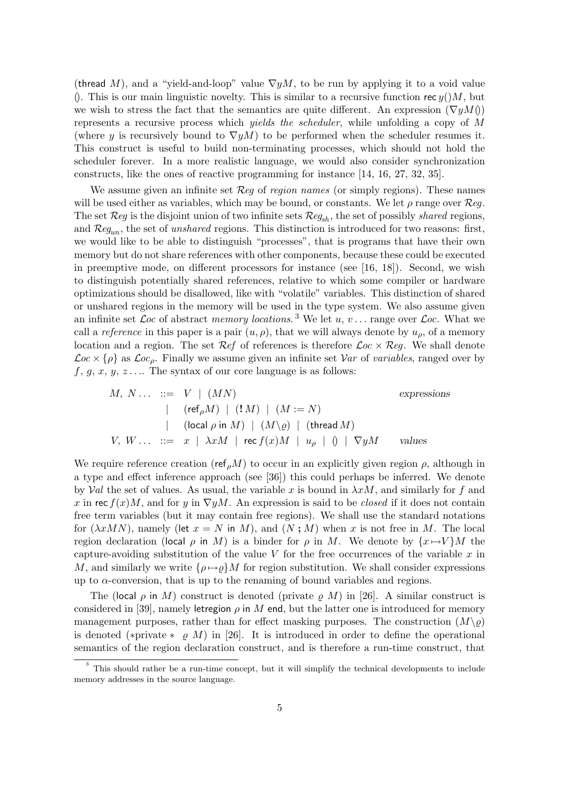(thread M), and a "yield-and-loop" value  $\nabla yM$ , to be run by applying it to a void value (). This is our main linguistic novelty. This is similar to a recursive function rec  $y(M)$ , but we wish to stress the fact that the semantics are quite different. An expression  $(\nabla y M()$ represents a recursive process which yields the scheduler, while unfolding a copy of M (where y is recursively bound to  $\nabla y$ M) to be performed when the scheduler resumes it. This construct is useful to build non-terminating processes, which should not hold the scheduler forever. In a more realistic language, we would also consider synchronization constructs, like the ones of reactive programming for instance [14, 16, 27, 32, 35].

We assume given an infinite set  $Reg$  of region names (or simply regions). These names will be used either as variables, which may be bound, or constants. We let  $\rho$  range over Reg. The set Reg is the disjoint union of two infinite sets  $\mathcal{R}eg_{sh}$ , the set of possibly shared regions, and  $\mathcal{R}eq_{un}$ , the set of unshared regions. This distinction is introduced for two reasons: first, we would like to be able to distinguish "processes", that is programs that have their own memory but do not share references with other components, because these could be executed in preemptive mode, on different processors for instance (see [16, 18]). Second, we wish to distinguish potentially shared references, relative to which some compiler or hardware optimizations should be disallowed, like with "volatile" variables. This distinction of shared or unshared regions in the memory will be used in the type system. We also assume given an infinite set  $\mathcal{L}oc$  of abstract memory locations.<sup>3</sup> We let  $u, v \dots$  range over  $\mathcal{L}oc$ . What we call a *reference* in this paper is a pair  $(u, \rho)$ , that we will always denote by  $u_{\rho}$ , of a memory location and a region. The set  $\mathcal{R}ef$  of references is therefore  $\mathcal{L}oc \times \mathcal{R}eg$ . We shall denote  $\mathcal{L}oc \times \{\rho\}$  as  $\mathcal{L}oc_{\rho}$ . Finally we assume given an infinite set  $\mathcal{V}ar$  of variables, ranged over by  $f, g, x, y, z \ldots$  The syntax of our core language is as follows:

$$
M, N... ::= V | (MN)
$$
  
\n
$$
| (\text{ref}_{\rho}M) | (M) | (M := N)
$$
  
\n
$$
| (\text{local } \rho \text{ in } M) | (M \setminus \rho) | (\text{thread } M)
$$
  
\n
$$
V, W... ::= x | \lambda xM | \text{rec } f(x)M | u_{\rho} | ) | \nabla yM \text{ values}
$$

We require reference creation (ref<sub>p</sub>M) to occur in an explicitly given region  $\rho$ , although in a type and effect inference approach (see [36]) this could perhaps be inferred. We denote by Val the set of values. As usual, the variable x is bound in  $\lambda x M$ , and similarly for f and x in rec  $f(x)M$ , and for y in  $\nabla yM$ . An expression is said to be closed if it does not contain free term variables (but it may contain free regions). We shall use the standard notations for  $(\lambda xMN)$ , namely (let  $x = N$  in M), and  $(N, M)$  when x is not free in M. The local region declaration (local  $\rho$  in M) is a binder for  $\rho$  in M. We denote by  $\{x \mapsto V\}M$  the capture-avoiding substitution of the value  $V$  for the free occurrences of the variable  $x$  in M, and similarly we write  $\{\rho \mapsto \rho\}M$  for region substitution. We shall consider expressions up to  $\alpha$ -conversion, that is up to the renaming of bound variables and regions.

The (local  $\rho$  in M) construct is denoted (private  $\rho$  M) in [26]. A similar construct is considered in [39], namely letregion  $\rho$  in M end, but the latter one is introduced for memory management purposes, rather than for effect masking purposes. The construction  $(M\setminus\rho)$ is denoted (\*private \*  $(\rho M)$  in [26]. It is introduced in order to define the operational semantics of the region declaration construct, and is therefore a run-time construct, that

<sup>&</sup>lt;sup>3</sup> This should rather be a run-time concept, but it will simplify the technical developments to include memory addresses in the source language.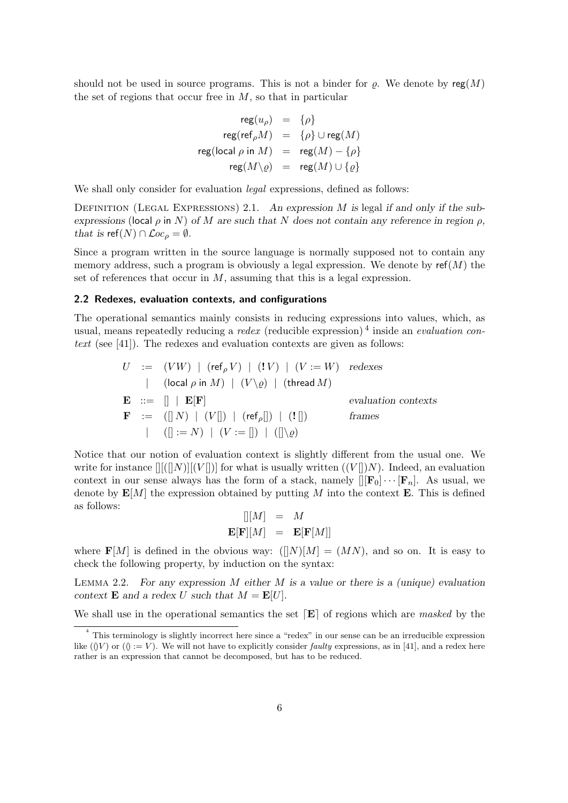should not be used in source programs. This is not a binder for  $\rho$ . We denote by reg(M) the set of regions that occur free in  $M$ , so that in particular

$$
\begin{array}{rcl} \mathsf{reg}(u_\rho) & = & \{\rho\} \\[1ex] \mathsf{reg}(\mathsf{ref}_\rho M) & = & \{\rho\} \cup \mathsf{reg}(M) \\[1ex] \mathsf{reg}(\mathsf{local}\; \rho \; \mathsf{in}\; M) & = & \mathsf{reg}(M) - \{\rho\} \\[1ex] \mathsf{reg}(M \backslash \varrho) & = & \mathsf{reg}(M) \cup \{\varrho\} \end{array}
$$

We shall only consider for evaluation *legal* expressions, defined as follows:

DEFINITION (LEGAL EXPRESSIONS) 2.1. An expression  $M$  is legal if and only if the subexpressions (local  $\rho$  in N) of M are such that N does not contain any reference in region  $\rho$ , that is  $\text{ref}(N) \cap \mathcal{L}oc_{\rho} = \emptyset$ .

Since a program written in the source language is normally supposed not to contain any memory address, such a program is obviously a legal expression. We denote by  $ref(M)$  the set of references that occur in  $M$ , assuming that this is a legal expression.

### 2.2 Redexes, evaluation contexts, and configurations

The operational semantics mainly consists in reducing expressions into values, which, as usual, means repeatedly reducing a *redex* (reducible expression)<sup>4</sup> inside an *evaluation con*text (see [41]). The redexes and evaluation contexts are given as follows:

$$
U := (VW) | (\mathsf{ref}_{\rho} V) | (!V) | (V := W) \text{ reduces}
$$
  
\n
$$
| (\text{local } \rho \text{ in } M) | (V \backslash \varrho) | (\text{thread } M)
$$
  
\n
$$
\mathbf{E} ::= [] | \mathbf{E}[\mathbf{F}] \text{ evaluation contexts}
$$
  
\n
$$
\mathbf{F} := ([] N) | (V[]) | (\mathsf{ref}_{\rho}[]) | (! []) \text{ frames}
$$
  
\n
$$
| ([] := N) | (V := []) | ([] \backslash \varrho)
$$

Notice that our notion of evaluation context is slightly different from the usual one. We write for instance  $[|([N)][(V)])$  for what is usually written  $((V[|)N)$ . Indeed, an evaluation context in our sense always has the form of a stack, namely  $[|{\bf F}_0| \cdots |{\bf F}_n]$ . As usual, we denote by  $\mathbf{E}[M]$  the expression obtained by putting M into the context **E**. This is defined as follows:

$$
\begin{array}{rcl}[[M] &=& M \\ \mathbf{E}[\mathbf{F}][M] &=& \mathbf{E}[\mathbf{F}[M]] \end{array}
$$

where  $\mathbf{F}[M]$  is defined in the obvious way:  $(\lceil N \rceil M) = (MN)$ , and so on. It is easy to check the following property, by induction on the syntax:

LEMMA 2.2. For any expression M either M is a value or there is a (unique) evaluation context **E** and a redex U such that  $M = \mathbf{E}[U]$ .

We shall use in the operational semantics the set  $\mathbb{E}$  of regions which are masked by the

<sup>&</sup>lt;sup>4</sup> This terminology is slightly incorrect here since a "redex" in our sense can be an irreducible expression like  $(0V)$  or  $(0 := V)$ . We will not have to explicitly consider *faulty* expressions, as in [41], and a redex here rather is an expression that cannot be decomposed, but has to be reduced.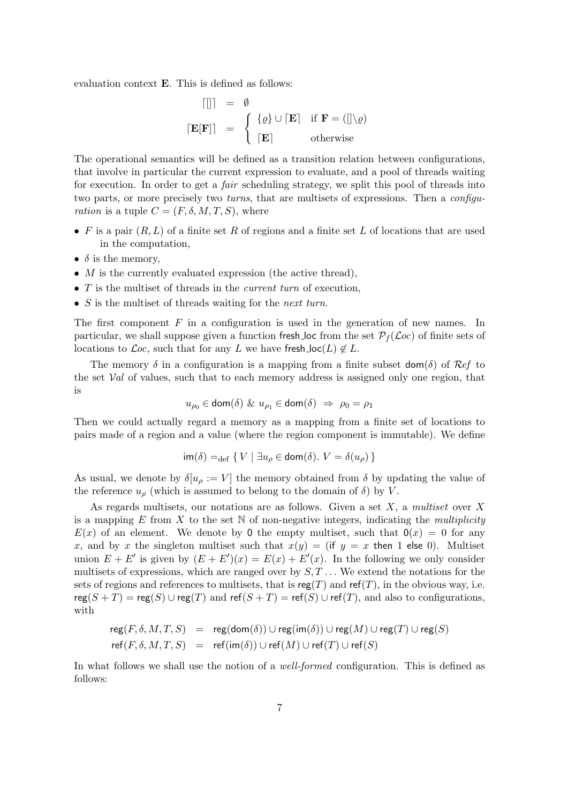evaluation context E. This is defined as follows:

$$
\begin{array}{rcl}\n\text{[[]]} & = & \emptyset \\
\text{[E]F]} & = & \left\{ \begin{array}{rcl} \{\varrho\} \cup \text{[E]} & \text{if } \mathbf{F} = (\text{[]}\backslash \varrho) \\
\text{[E]} & & \text{otherwise}\n\end{array} \right.\n\end{array}
$$

The operational semantics will be defined as a transition relation between configurations, that involve in particular the current expression to evaluate, and a pool of threads waiting for execution. In order to get a *fair* scheduling strategy, we split this pool of threads into two parts, or more precisely two turns, that are multisets of expressions. Then a configu*ration* is a tuple  $C = (F, \delta, M, T, S)$ , where

- F is a pair  $(R, L)$  of a finite set R of regions and a finite set L of locations that are used in the computation,
- $\delta$  is the memory,
- $M$  is the currently evaluated expression (the active thread),
- $T$  is the multiset of threads in the *current turn* of execution,
- S is the multiset of threads waiting for the *next turn*.

The first component  $F$  in a configuration is used in the generation of new names. In particular, we shall suppose given a function fresh loc from the set  $P_f(\mathcal{L}oc)$  of finite sets of locations to  $\mathcal{L}oc$ , such that for any L we have fresh loc(L)  $\notin L$ .

The memory  $\delta$  in a configuration is a mapping from a finite subset dom( $\delta$ ) of Ref to the set  $Val$  of values, such that to each memory address is assigned only one region, that is

$$
u_{\rho_0} \in \text{dom}(\delta) \& u_{\rho_1} \in \text{dom}(\delta) \Rightarrow \rho_0 = \rho_1
$$

Then we could actually regard a memory as a mapping from a finite set of locations to pairs made of a region and a value (where the region component is immutable). We define

$$
\mathsf{im}(\delta) =_{\text{def}} \{ V \mid \exists u_{\rho} \in \mathsf{dom}(\delta). V = \delta(u_{\rho}) \}
$$

As usual, we denote by  $\delta[u_{\rho} := V]$  the memory obtained from  $\delta$  by updating the value of the reference  $u_{\rho}$  (which is assumed to belong to the domain of  $\delta$ ) by V.

As regards multisets, our notations are as follows. Given a set  $X$ , a multiset over  $X$ is a mapping  $E$  from  $X$  to the set  $N$  of non-negative integers, indicating the *multiplicity*  $E(x)$  of an element. We denote by 0 the empty multiset, such that  $0(x) = 0$  for any x, and by x the singleton multiset such that  $x(y) = (if y = x$  then 1 else 0). Multiset union  $E + E'$  is given by  $(E + E')(x) = E(x) + E'(x)$ . In the following we only consider multisets of expressions, which are ranged over by  $S, T, \ldots$ . We extend the notations for the sets of regions and references to multisets, that is  $reg(T)$  and  $ref(T)$ , in the obvious way, i.e.  $reg(S+T) = reg(S) \cup reg(T)$  and  $ref(S+T) = ref(S) \cup ref(T)$ , and also to configurations, with

$$
\begin{array}{lcl} \mathsf{reg}(F,\delta,M,T,S) & = & \mathsf{reg}(\mathsf{dom}(\delta)) \cup \mathsf{reg}(\mathsf{im}(\delta)) \cup \mathsf{reg}(M) \cup \mathsf{reg}(T) \cup \mathsf{reg}(S) \\ \mathsf{ref}(F,\delta,M,T,S) & = & \mathsf{ref}(\mathsf{im}(\delta)) \cup \mathsf{ref}(M) \cup \mathsf{ref}(T) \cup \mathsf{ref}(S) \end{array}
$$

In what follows we shall use the notion of a *well-formed* configuration. This is defined as follows: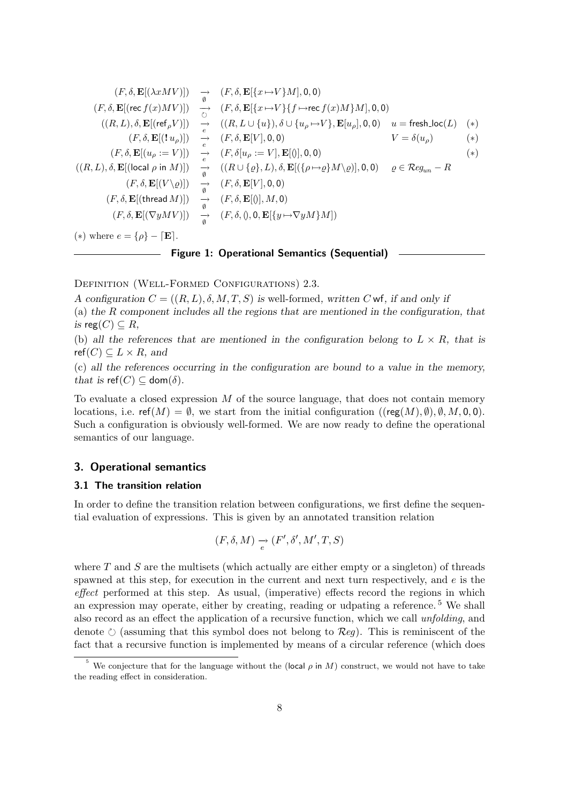$$
(F, \delta, \mathbf{E}[(\lambda xMV)]) \rightarrow (F, \delta, \mathbf{E}[\{x \mapsto V\}M], 0, 0)
$$
  
\n
$$
(F, \delta, \mathbf{E}[(\text{rec } f(x)MV)]) \rightarrow (F, \delta, \mathbf{E}[\{x \mapsto V\}\{f \mapsto \text{rec } f(x)M\}M], 0, 0)
$$
  
\n
$$
((R, L), \delta, \mathbf{E}[(\text{ref } \rho V)]) \rightarrow ((R, L \cup \{u\}), \delta \cup \{u_{\rho} \mapsto V\}, \mathbf{E}[u_{\rho}], 0, 0) u = \text{fresh}.\text{loc}(L) (*)
$$
  
\n
$$
(F, \delta, \mathbf{E}[(\mathbf{u}_{\rho})]) \rightarrow (F, \delta, \mathbf{E}[V], 0, 0) V = \delta(u_{\rho}) (*)
$$
  
\n
$$
((R, L), \delta, \mathbf{E}[(u_{\rho} := V)]) \rightarrow (F, \delta[u_{\rho} := V], \mathbf{E}[0], 0, 0) V = \delta(u_{\rho}) (*)
$$
  
\n
$$
((R, L), \delta, \mathbf{E}[(\text{local } \rho \text{ in } M)]) \rightarrow ((R \cup \{\rho\}, L), \delta, \mathbf{E}[(\{\rho \mapsto \rho\}M \setminus \rho)], 0, 0) \rho \in \mathcal{R}e_{\theta u_{\eta}} - R
$$
  
\n
$$
(F, \delta, \mathbf{E}[(V \setminus \rho)]) \rightarrow (F, \delta, \mathbf{E}[V], 0, 0)
$$
  
\n
$$
((F, \delta, \mathbf{E}[(\text{thread } M)]) \rightarrow (F, \delta, \mathbf{E}[0], M, 0)
$$
  
\n
$$
(F, \delta, \mathbf{E}[(\nabla yMV)]) \rightarrow (F, \delta, 0, 0, \mathbf{E}[\{y \mapsto \nabla yM\}M])
$$
  
\n
$$
(*) \text{ where } e = \{\rho\} - [\mathbf{E}].
$$

#### Figure 1: Operational Semantics (Sequential)

DEFINITION (WELL-FORMED CONFIGURATIONS) 2.3.

A configuration  $C = ((R, L), \delta, M, T, S)$  is well-formed, written C wf, if and only if (a) the R component includes all the regions that are mentioned in the configuration, that is reg $(C) \subseteq R$ ,

(b) all the references that are mentioned in the configuration belong to  $L \times R$ , that is  $\mathsf{ref}(C) \subseteq L \times R$ , and

(c) all the references occurring in the configuration are bound to a value in the memory, that is  $\text{ref}(C) \subseteq \text{dom}(\delta)$ .

To evaluate a closed expression  $M$  of the source language, that does not contain memory locations, i.e. ref(M) =  $\emptyset$ , we start from the initial configuration ((reg(M),  $\emptyset$ ),  $\emptyset$ ,  $M$ , 0, 0). Such a configuration is obviously well-formed. We are now ready to define the operational semantics of our language.

# 3. Operational semantics

### 3.1 The transition relation

In order to define the transition relation between configurations, we first define the sequential evaluation of expressions. This is given by an annotated transition relation

$$
(F,\delta,M)\underset{e}{\rightarrow}(F',\delta',M',T,S)
$$

where  $T$  and  $S$  are the multisets (which actually are either empty or a singleton) of threads spawned at this step, for execution in the current and next turn respectively, and  $e$  is the effect performed at this step. As usual, (imperative) effects record the regions in which an expression may operate, either by creating, reading or udpating a reference.<sup>5</sup> We shall also record as an effect the application of a recursive function, which we call unfolding, and denote  $\circlearrowright$  (assuming that this symbol does not belong to  $\mathcal{R}eq$ ). This is reminiscent of the fact that a recursive function is implemented by means of a circular reference (which does

We conjecture that for the language without the (local  $\rho$  in M) construct, we would not have to take the reading effect in consideration.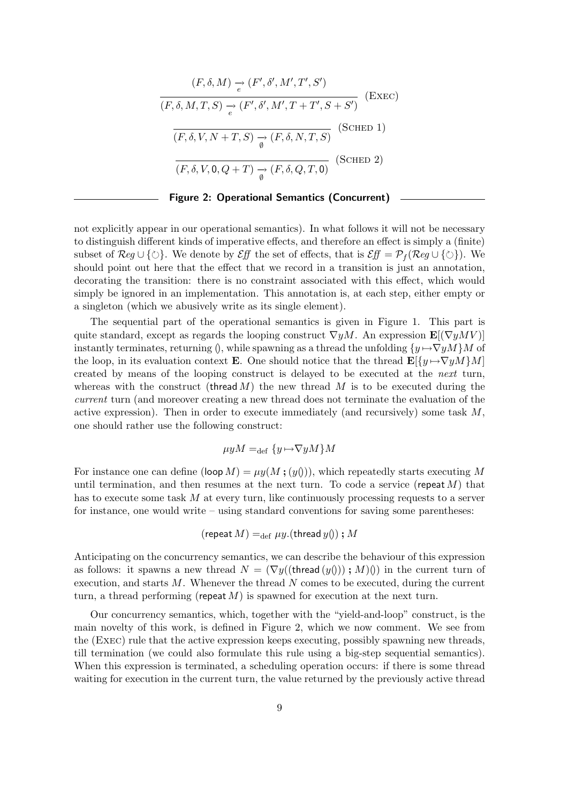$$
(F, \delta, M) \xrightarrow{P} (F', \delta', M', T', S')
$$
  
\n
$$
\overline{(F, \delta, M, T, S)} \xrightarrow{P} (F', \delta', M', T + T', S + S')
$$
 (EXEC)  
\n
$$
\overline{(F, \delta, V, N + T, S)} \xrightarrow{\gamma} (F, \delta, N, T, S)
$$
 (Sched 1)  
\n
$$
\overline{(F, \delta, V, 0, Q + T)} \xrightarrow{\gamma} (F, \delta, Q, T, 0)
$$
 (Sched 2)

#### Figure 2: Operational Semantics (Concurrent)

not explicitly appear in our operational semantics). In what follows it will not be necessary to distinguish different kinds of imperative effects, and therefore an effect is simply a (finite) subset of  $Reg \cup \{\circ\}$ . We denote by  $\mathcal{E}ff$  the set of effects, that is  $\mathcal{E}ff = \mathcal{P}_f(\mathcal{R}eg \cup \{\circ\})$ . We should point out here that the effect that we record in a transition is just an annotation, decorating the transition: there is no constraint associated with this effect, which would simply be ignored in an implementation. This annotation is, at each step, either empty or a singleton (which we abusively write as its single element).

The sequential part of the operational semantics is given in Figure 1. This part is quite standard, except as regards the looping construct  $\nabla yM$ . An expression  $\mathbf{E}[(\nabla yMV)]$ instantly terminates, returning (), while spawning as a thread the unfolding  $\{y \mapsto \nabla yM\}M$  of the loop, in its evaluation context **E**. One should notice that the thread  $\mathbf{E}[\{y \mapsto \nabla y M\}M]$ created by means of the looping construct is delayed to be executed at the next turn, whereas with the construct (thread  $M$ ) the new thread  $M$  is to be executed during the current turn (and moreover creating a new thread does not terminate the evaluation of the active expression). Then in order to execute immediately (and recursively) some task  $M$ , one should rather use the following construct:

$$
\mu yM =_{\text{def}} \{y \mapsto \nabla yM\}M
$$

For instance one can define  $(\text{loop }M) = \mu y(M; (y)))$ , which repeatedly starts executing M until termination, and then resumes at the next turn. To code a service (repeat  $M$ ) that has to execute some task M at every turn, like continuously processing requests to a server for instance, one would write – using standard conventions for saving some parentheses:

$$
(\mathsf{repeat}\,M) =_{\mathsf{def}} \mu y.(\mathsf{thread}\,y()) \mathbin{;} M
$$

Anticipating on the concurrency semantics, we can describe the behaviour of this expression as follows: it spawns a new thread  $N = (\nabla y((\text{thread } (y))) : M)(\text{))}$  in the current turn of execution, and starts M. Whenever the thread N comes to be executed, during the current turn, a thread performing (repeat  $M$ ) is spawned for execution at the next turn.

Our concurrency semantics, which, together with the "yield-and-loop" construct, is the main novelty of this work, is defined in Figure 2, which we now comment. We see from the (Exec) rule that the active expression keeps executing, possibly spawning new threads, till termination (we could also formulate this rule using a big-step sequential semantics). When this expression is terminated, a scheduling operation occurs: if there is some thread waiting for execution in the current turn, the value returned by the previously active thread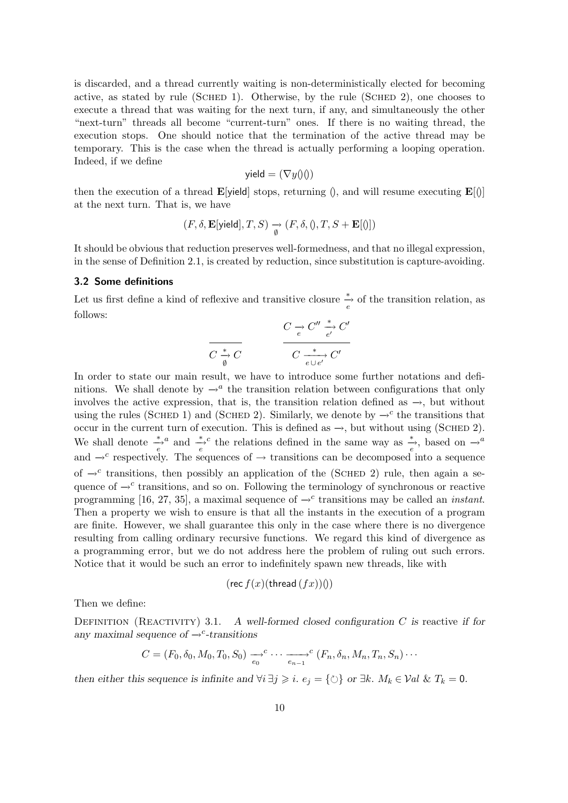is discarded, and a thread currently waiting is non-deterministically elected for becoming active, as stated by rule (SCHED 1). Otherwise, by the rule (SCHED 2), one chooses to execute a thread that was waiting for the next turn, if any, and simultaneously the other "next-turn" threads all become "current-turn" ones. If there is no waiting thread, the execution stops. One should notice that the termination of the active thread may be temporary. This is the case when the thread is actually performing a looping operation. Indeed, if we define

$$
\mathsf{yield} = (\nabla y(\mathsf{y}(\mathsf{y}(\mathsf{y}(\mathsf{y}(\mathsf{y}(\mathsf{y}(\mathsf{y}(\mathsf{y}(\mathsf{y}(\mathsf{y}(\mathsf{y}(\mathsf{y}(\mathsf{y}(\mathsf{y}(\mathsf{y}(\mathsf{y}(\mathsf{y}(\mathsf{y}(\mathsf{y}(\mathsf{y}(\mathsf{y}(\mathsf{y}(\mathsf{y}(\mathsf{y}(\mathsf{y}(\mathsf{y}(\mathsf{y}(\mathsf{y}(\mathsf{y}(\mathsf{y}(\mathsf{y}(\mathsf{y}(\mathsf{y}(\mathsf{y}(\mathsf{y}(\mathsf{y}(\mathsf{y}(\mathsf{y}(\mathsf{y}(\mathsf{y}(\mathsf{y}(\mathsf{y}(\mathsf{y}(\mathsf{y}(\mathsf{y}(\mathsf{y}(\mathsf{y}(\mathsf{y}(\mathsf{y}(\mathsf{y}(\mathsf{y}(\mathsf{y}(\mathsf{y}(\mathsf{y}(\mathsf{y}(\mathsf{y}(\mathsf{y}(\mathsf{y}(\mathsf{y}(\mathsf{y}(\mathsf{y}(\mathsf{y}(\mathsf{y}(\mathsf{y}(\mathsf{y}(\mathsf{y}(\mathsf{y}(\mathsf{y}(\mathsf{y}(\mathsf{y}(\mathsf{y}(\mathsf{y}(\mathsf{y}(\mathsf{y}(\mathsf{y}(\mathsf{y}(\mathsf{y}(\mathsf{y}(\mathsf{y}(\mathsf{y}(\mathsf{y}(\mathsf{y}(\mathsf{y}(\mathsf{y}(\mathsf{y}(\mathsf{y}(\mathsf{y}(\mathsf{y}(\mathsf{y}(\mathsf{y}(\mathsf{y}(\mathsf{y}(\mathsf{y}(\mathsf{y}(\mathsf{y}(\mathsf{y}(\mathsf{y}(\mathsf{y}(\mathsf{y}(\mathsf{y}(\mathsf{y}(\mathsf{y}(\mathsf{y}(\mathsf{y}(\mathsf{y}(\mathsf{y}(\mathsf{y}(\mathsf{y}(\mathsf{y}(\mathsf{y}(\mathsf{y}(\mathsf{y}(\mathsf{y}(\mathsf{y}(\mathsf{y}(\mathsf{y}(\mathsf{y}(\mathsf{y}(\mathsf{y}(\mathsf{y}(\mathsf{y}(\mathsf{y}(\mathsf{y}(\mathsf{y}(\mathsf{
$$

then the execution of a thread  $\mathbf{E}[\text{yield}]$  stops, returning (), and will resume executing  $\mathbf{E}[0]$ at the next turn. That is, we have

$$
(F,\delta,\mathbf{E}[\mathsf{yield}],T,S)\underset{\emptyset}{\rightarrow}(F,\delta,(),T,S+\mathbf{E}[0])
$$

It should be obvious that reduction preserves well-formedness, and that no illegal expression, in the sense of Definition 2.1, is created by reduction, since substitution is capture-avoiding.

## 3.2 Some definitions

Let us first define a kind of reflexive and transitive closure  $\frac{*}{e}$  of the transition relation, as follows:

$$
\frac{C}{C\overset{*}{\underset{\emptyset}{\rightarrow}}C} \qquad \qquad \frac{C\underset{e}{\rightarrow}C''\overset{*}{\underset{e'}{\rightarrow}}C'}{C\underset{e\cup e'}{\underset{e'}{\rightarrow}}C'}
$$

In order to state our main result, we have to introduce some further notations and definitions. We shall denote by  $\rightarrow^a$  the transition relation between configurations that only involves the active expression, that is, the transition relation defined as  $\rightarrow$ , but without using the rules (SCHED 1) and (SCHED 2). Similarly, we denote by  $\rightarrow^c$  the transitions that occur in the current turn of execution. This is defined as  $\rightarrow$ , but without using (SCHED 2). We shall denote  $\frac{*_a}{e}$  and  $\frac{*_c}{e}$  the relations defined in the same way as  $\frac{*_c}{e}$ , based on  $\rightarrow$ <sup>a</sup> and  $\rightarrow^c$  respectively. The sequences of  $\rightarrow$  transitions can be decomposed into a sequence of  $\rightarrow$ <sup>c</sup> transitions, then possibly an application of the (SCHED 2) rule, then again a sequence of  $\rightarrow^c$  transitions, and so on. Following the terminology of synchronous or reactive programming [16, 27, 35], a maximal sequence of  $\rightarrow^c$  transitions may be called an *instant*. Then a property we wish to ensure is that all the instants in the execution of a program are finite. However, we shall guarantee this only in the case where there is no divergence resulting from calling ordinary recursive functions. We regard this kind of divergence as a programming error, but we do not address here the problem of ruling out such errors. Notice that it would be such an error to indefinitely spawn new threads, like with

$$
(\mathsf{rec}\, f(x)(\mathsf{thread}\, (fx)))()
$$

Then we define:

DEFINITION (REACTIVITY) 3.1. A well-formed closed configuration  $C$  is reactive if for any maximal sequence of  $\rightarrow^c$ -transitions

$$
C = (F_0, \delta_0, M_0, T_0, S_0) \xrightarrow{c} \cdots \xrightarrow{c_{n-1}} (F_n, \delta_n, M_n, T_n, S_n) \cdots
$$

then either this sequence is infinite and  $\forall i \exists j \geqslant i. e_j = \{\circlearrowright\}$  or  $\exists k. M_k \in \mathcal{V}al \& T_k = 0$ .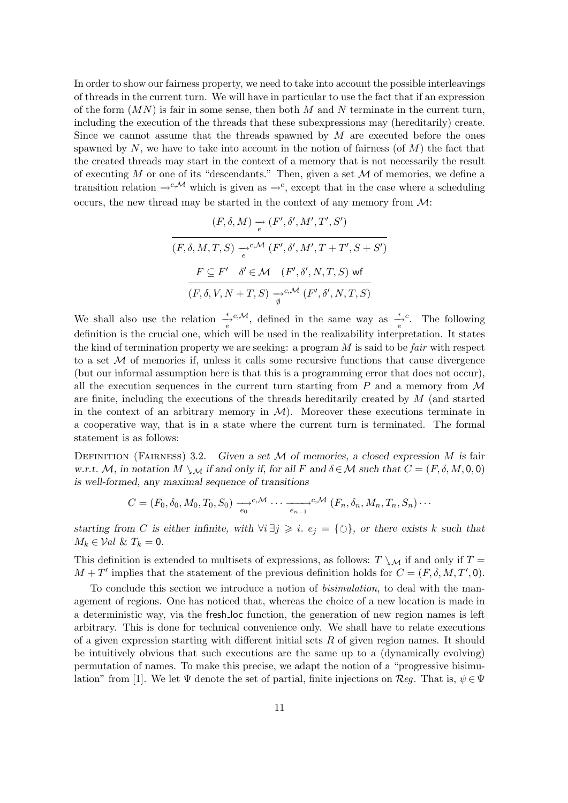In order to show our fairness property, we need to take into account the possible interleavings of threads in the current turn. We will have in particular to use the fact that if an expression of the form  $(MN)$  is fair in some sense, then both M and N terminate in the current turn, including the execution of the threads that these subexpressions may (hereditarily) create. Since we cannot assume that the threads spawned by  $M$  are executed before the ones spawned by  $N$ , we have to take into account in the notion of fairness (of  $M$ ) the fact that the created threads may start in the context of a memory that is not necessarily the result of executing M or one of its "descendants." Then, given a set  $\mathcal M$  of memories, we define a transition relation  $\rightarrow^{c,M}$  which is given as  $\rightarrow^{c}$ , except that in the case where a scheduling occurs, the new thread may be started in the context of any memory from  $M$ :

$$
(F, \delta, M) \underset{e}{\rightarrow} (F', \delta', M', T', S')
$$

$$
\overline{(F, \delta, M, T, S)} \underset{e}{\rightarrow}^{c, \mathcal{M}} (F', \delta', M', T + T', S + S')
$$

$$
\frac{F \subseteq F' \quad \delta' \in \mathcal{M} \quad (F', \delta', N, T, S) \text{ wf}}{(F, \delta, V, N + T, S) \underset{\emptyset}{\rightarrow}^{c, \mathcal{M}} (F', \delta', N, T, S)}
$$

We shall also use the relation  $\frac{*}{e}c M$ , defined in the same way as  $\frac{*}{e}c$ . The following definition is the crucial one, which will be used in the realizability interpretation. It states the kind of termination property we are seeking: a program  $M$  is said to be *fair* with respect to a set  $M$  of memories if, unless it calls some recursive functions that cause divergence (but our informal assumption here is that this is a programming error that does not occur), all the execution sequences in the current turn starting from  $P$  and a memory from  $M$ are finite, including the executions of the threads hereditarily created by M (and started in the context of an arbitrary memory in  $\mathcal{M}$ ). Moreover these executions terminate in a cooperative way, that is in a state where the current turn is terminated. The formal statement is as follows:

DEFINITION (FAIRNESS) 3.2. Given a set  $M$  of memories, a closed expression  $M$  is fair w.r.t. M, in notation M  $\setminus_{\mathcal{M}}$  if and only if, for all F and  $\delta \in \mathcal{M}$  such that  $C = (F, \delta, M, 0, 0)$ is well-formed, any maximal sequence of transitions

$$
C = (F_0, \delta_0, M_0, T_0, S_0) \xrightarrow{e_0} \cdots \xrightarrow{e_{n-1}} c, M \ (F_n, \delta_n, M_n, T_n, S_n) \cdots
$$

starting from C is either infinite, with  $\forall i \exists j \geqslant i. e_j = \{\circlearrowright\}$ , or there exists k such that  $M_k \in$  *Val & T<sub>k</sub>* = 0.

This definition is extended to multisets of expressions, as follows:  $T \searrow_M$  if and only if  $T =$  $M + T'$  implies that the statement of the previous definition holds for  $C = (F, \delta, M, T', 0)$ .

To conclude this section we introduce a notion of bisimulation, to deal with the management of regions. One has noticed that, whereas the choice of a new location is made in a deterministic way, via the fresh loc function, the generation of new region names is left arbitrary. This is done for technical convenience only. We shall have to relate executions of a given expression starting with different initial sets  $R$  of given region names. It should be intuitively obvious that such executions are the same up to a (dynamically evolving) permutation of names. To make this precise, we adapt the notion of a "progressive bisimulation" from [1]. We let  $\Psi$  denote the set of partial, finite injections on Req. That is,  $\psi \in \Psi$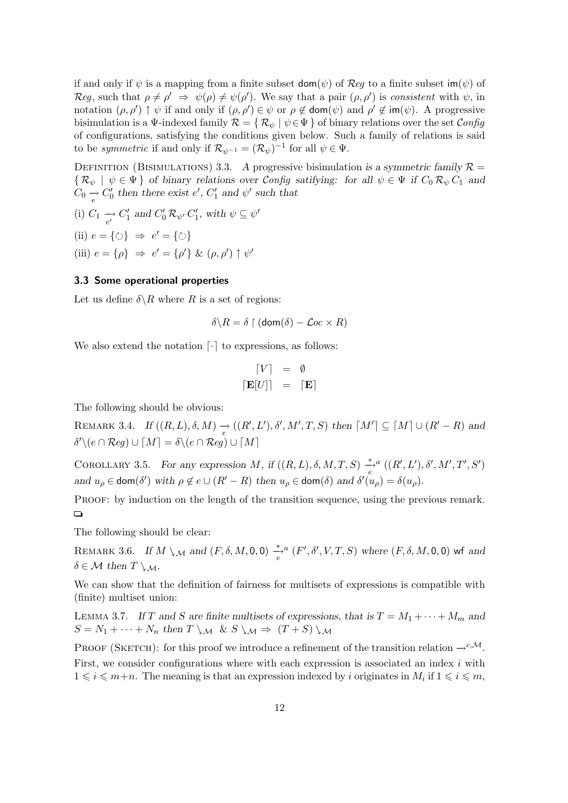if and only if  $\psi$  is a mapping from a finite subset  $\mathsf{dom}(\psi)$  of Req to a finite subset  $\mathsf{im}(\psi)$  of Reg, such that  $\rho \neq \rho' \Rightarrow \psi(\rho) \neq \psi(\rho')$ . We say that a pair  $(\rho, \rho')$  is consistent with  $\psi$ , in notation  $(\rho, \rho') \uparrow \psi$  if and only if  $(\rho, \rho') \in \psi$  or  $\rho \notin \text{dom}(\psi)$  and  $\rho' \notin \text{im}(\psi)$ . A progressive bisimulation is a Ψ-indexed family  $\mathcal{R} = \{ \mathcal{R}_{\psi} \mid \psi \in \Psi \}$  of binary relations over the set Config of configurations, satisfying the conditions given below. Such a family of relations is said to be *symmetric* if and only if  $\mathcal{R}_{\psi^{-1}} = (\mathcal{R}_{\psi})^{-1}$  for all  $\psi \in \Psi$ .

DEFINITION (BISIMULATIONS) 3.3. A progressive bisimulation is a symmetric family  $\mathcal{R} =$  $\{\mathcal{R}_{\psi} \mid \psi \in \Psi\}$  of binary relations over Config satifying: for all  $\psi \in \Psi$  if  $C_0 \mathcal{R}_{\psi} C_1$  and  $C_0 \rightarrow C'_0$  then there exist e',  $C'_1$  and  $\psi'$  such that

(i)  $C_1 \longrightarrow C'_1$  and  $C'_0 \mathcal{R}_{\psi'} C'_1$ , with  $\psi \subseteq \psi'$ (ii)  $e = \{\circlearrowright\} \Rightarrow e' = \{\circlearrowright\}$ (iii)  $e = {\rho} \Rightarrow e' = {\rho'} \& (\rho, \rho') \uparrow \psi'$ 

#### 3.3 Some operational properties

Let us define  $\delta \backslash R$  where R is a set of regions:

$$
\delta \backslash R = \delta \upharpoonright (\text{dom}(\delta) - \mathcal{L}oc \times R)
$$

We also extend the notation  $\lceil \cdot \rceil$  to expressions, as follows:

$$
\begin{array}{rcl} \lceil V \rceil & = & \emptyset \\ \lceil \mathbf{E}[U] \rceil & = & \lceil \mathbf{E} \rceil \end{array}
$$

The following should be obvious:

REMARK 3.4. If  $((R, L), \delta, M) \rightarrow (R', L'), \delta', M', T, S)$  then  $[M'] \subseteq [M] \cup (R' - R)$  and  $\delta' \setminus (e \cap \mathcal{R}eg) \cup [M] = \delta \setminus (e \cap \mathcal{R}eg) \cup [M]$ 

COROLLARY 3.5. For any expression M, if  $((R, L), \delta, M, T, S) \stackrel{*}{\underset{e}{\rightarrow}}^a ((R', L'), \delta', M', T', S')$ and  $u_{\rho} \in \text{dom}(\delta')$  with  $\rho \notin e \cup (R' - R)$  then  $u_{\rho} \in \text{dom}(\delta)$  and  $\delta'(u_{\rho}) = \delta(u_{\rho})$ .

PROOF: by induction on the length of the transition sequence, using the previous remark.  $\Box$ 

The following should be clear:

REMARK 3.6. If  $M \setminus \mathcal{M}$  and  $(F, \delta, M, 0, 0) \stackrel{*}{\rightleftharpoons}^a (F', \delta', V, T, S)$  where  $(F, \delta, M, 0, 0)$  wf and  $\delta \in \mathcal{M}$  then  $T \setminus \mathcal{M}$ .

We can show that the definition of fairness for multisets of expressions is compatible with (finite) multiset union:

LEMMA 3.7. If T and S are finite multisets of expressions, that is  $T = M_1 + \cdots + M_m$  and  $S = N_1 + \cdots + N_n$  then  $T \setminus M$  &  $S \setminus M \Rightarrow (T + S) \setminus M$ 

PROOF (SKETCH): for this proof we introduce a refinement of the transition relation  $\rightarrow^{c,\mathcal{M}}$ . First, we consider configurations where with each expression is associated an index  $i$  with  $1 \leq i \leq m+n$ . The meaning is that an expression indexed by i originates in  $M_i$  if  $1 \leq i \leq m$ ,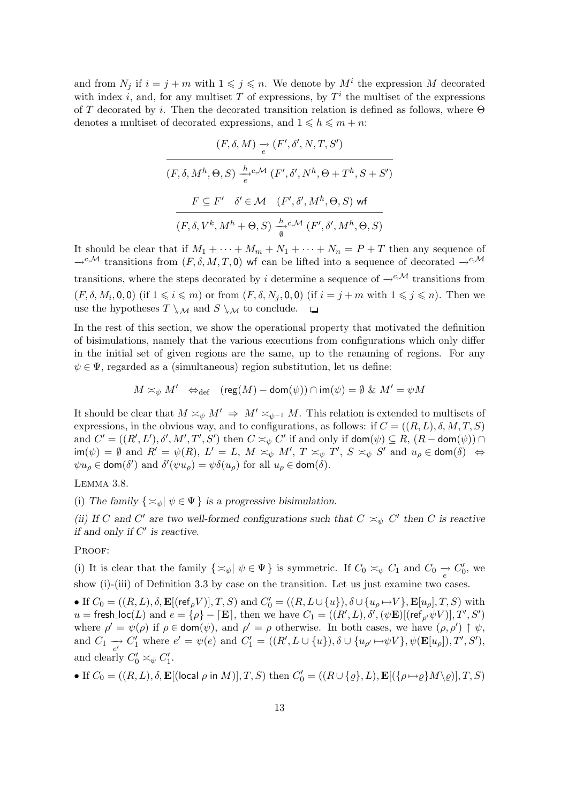and from  $N_j$  if  $i = j + m$  with  $1 \leq j \leq n$ . We denote by  $M^i$  the expression M decorated with index *i*, and, for any multiset T of expressions, by  $T<sup>i</sup>$  the multiset of the expressions of T decorated by i. Then the decorated transition relation is defined as follows, where  $\Theta$ denotes a multiset of decorated expressions, and  $1 \leq h \leq m + n$ :

$$
(F, \delta, M) \xrightarrow{e} (F', \delta', N, T, S')
$$
  

$$
(F, \delta, M^h, \Theta, S) \xrightarrow{h}_{e} c, M \ (F', \delta', N^h, \Theta + T^h, S + S')
$$
  

$$
F \subseteq F' \quad \delta' \in \mathcal{M} \quad (F', \delta', M^h, \Theta, S) \text{ wf}
$$
  

$$
(F, \delta, V^k, M^h + \Theta, S) \xrightarrow{\phi}_{\emptyset} c, M \ (F', \delta', M^h, \Theta, S)
$$

It should be clear that if  $M_1 + \cdots + M_m + N_1 + \cdots + N_n = P + T$  then any sequence of  $\rightarrow^{c,\mathcal{M}}$  transitions from  $(F, \delta, M, T, 0)$  wf can be lifted into a sequence of decorated  $\rightarrow^{c,\mathcal{M}}$ transitions, where the steps decorated by i determine a sequence of  $\rightarrow^{c,\mathcal{M}}$  transitions from  $(F, \delta, M_i, 0, 0)$  (if  $1 \leq i \leq m$ ) or from  $(F, \delta, N_j, 0, 0)$  (if  $i = j + m$  with  $1 \leq j \leq n$ ). Then we use the hypotheses  $T\searrow_{\mathcal{M}}$  and  $S\searrow_{\mathcal{M}}$  to conclude.

In the rest of this section, we show the operational property that motivated the definition of bisimulations, namely that the various executions from configurations which only differ in the initial set of given regions are the same, up to the renaming of regions. For any  $\psi \in \Psi$ , regarded as a (simultaneous) region substitution, let us define:

$$
M \asymp_{\psi} M' \quad \Leftrightarrow_{\mathrm{def}} \quad (\mathrm{reg}(M)-\mathrm{dom}(\psi)) \cap \mathrm{im}(\psi) = \emptyset \ \& \ M' = \psi M
$$

It should be clear that  $M \simeq_{\psi} M' \Rightarrow M' \simeq_{\psi^{-1}} M$ . This relation is extended to multisets of expressions, in the obvious way, and to configurations, as follows: if  $C = ((R, L), \delta, M, T, S)$ and  $C' = ((R', L'), \delta', M', T', S')$  then  $C \asymp_{\psi} C'$  if and only if  $\mathsf{dom}(\psi) \subseteq R$ ,  $(R - \mathsf{dom}(\psi)) \cap$  $\mathsf{im}(\psi) = \emptyset$  and  $R' = \psi(R)$ ,  $L' = L$ ,  $M \asymp_{\psi} M'$ ,  $T \asymp_{\psi} T'$ ,  $S \asymp_{\psi} S'$  and  $u_{\rho} \in \mathsf{dom}(\delta) \Leftrightarrow$  $\psi u_{\rho} \in \text{dom}(\delta')$  and  $\delta'(\psi u_{\rho}) = \psi \delta(u_{\rho})$  for all  $u_{\rho} \in \text{dom}(\delta)$ .

Lemma 3.8.

(i) The family  $\{ \prec_{\psi} | \psi \in \Psi \}$  is a progressive bisimulation.

(ii) If C and C' are two well-formed configurations such that  $C \preceq_{\psi} C'$  then C is reactive if and only if  $C'$  is reactive.

### PROOF:

(i) It is clear that the family  $\{\leq_{\psi} | \psi \in \Psi\}$  is symmetric. If  $C_0 \leq_{\psi} C_1$  and  $C_0 \underset{e}{\to} C'_0$ , we show (i)-(iii) of Definition 3.3 by case on the transition. Let us just examine two cases.

• If  $C_0 = ((R, L), \delta, \mathbf{E}[(\mathsf{ref}_{\rho} V)], T, S)$  and  $C'_0 = ((R, L \cup \{u\}), \delta \cup \{u_{\rho} \mapsto V\}, \mathbf{E}[u_{\rho}], T, S)$  with  $u = \mathsf{fresh\_loc}(L)$  and  $e = \{\rho\} - [\mathbf{E}],$  then we have  $C_1 = ((R', L), \delta', (\psi \mathbf{E}) [(\mathsf{ref}_{\rho'} \psi V)], T', S')$ where  $\rho' = \psi(\rho)$  if  $\rho \in \text{dom}(\psi)$ , and  $\rho' = \rho$  otherwise. In both cases, we have  $(\rho, \rho') \uparrow \psi$ , and  $C_1 \longrightarrow C'_1$  where  $e' = \psi(e)$  and  $C'_1 = ((R', L \cup \{u\}), \delta \cup \{u_{\rho'} \mapsto \psi V\}, \psi(\mathbf{E}[u_{\rho}]), T', S')$ , and clearly  $C'_0 \approx_{\psi} C'_1$ .

• If  $C_0 = ((R, L), \delta, \mathbf{E}[(\text{local }\rho \text{ in }M)], T, S)$  then  $C_0' = ((R \cup \{\varrho\}, L), \mathbf{E}[(\{\rho \mapsto \varrho\} M \backslash \varrho)], T, S)$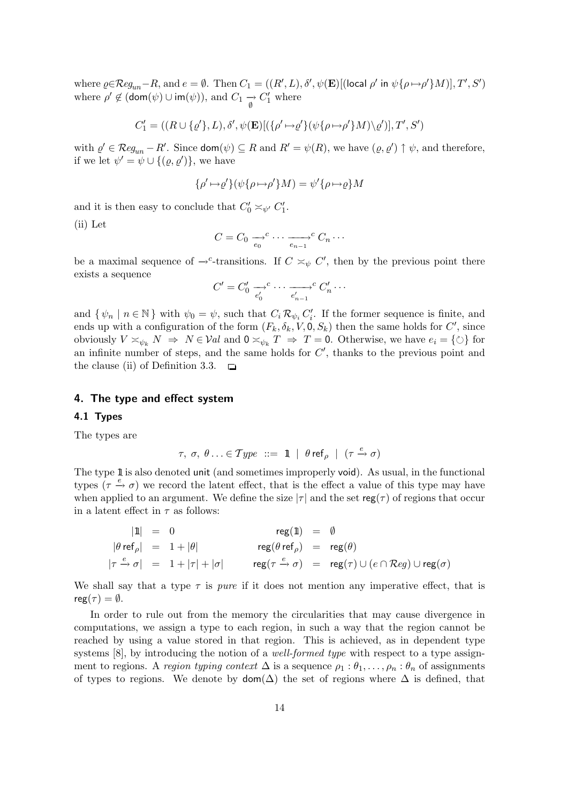where  $\varrho \in \mathcal{R}eg_{un} - R$ , and  $e = \emptyset$ . Then  $C_1 = ((R', L), \delta', \psi(\mathbf{E})[(\text{local } \rho' \text{ in } \psi\{\rho \mapsto \rho'\}M)], T', S')$ where  $\rho' \notin (\text{dom}(\psi) \cup \text{im}(\psi))$ , and  $C_1 \xrightarrow[\emptyset]{} C'_1$  where

$$
C_1' = ((R \cup \{\varrho'\}, L), \delta', \psi(\mathbf{E})[(\{\rho' \mapsto \rho'\}(\psi\{\rho \mapsto \rho'\}M)\backslash \varrho')], T', S')
$$

with  $\varrho' \in \mathcal{R}eg_{un} - R'$ . Since  $\text{dom}(\psi) \subseteq R$  and  $R' = \psi(R)$ , we have  $(\varrho, \varrho') \uparrow \psi$ , and therefore, if we let  $\psi' = \psi \cup \{(\varrho, \varrho')\}$ , we have

$$
\{\rho'\!\mapsto\!\varrho'\}(\psi\{\rho\!\mapsto\!\rho'\}M)=\psi'\{\rho\!\mapsto\!\varrho\}M
$$

and it is then easy to conclude that  $C'_0 \asymp_{\psi'} C'_1$ .

(ii) Let

$$
C = C_0 \xrightarrow{e_0} c \cdots \xrightarrow{e_{n-1}} c C_n \cdots
$$

be a maximal sequence of  $\rightarrow^c$ -transitions. If  $C \asymp_{\psi} C'$ , then by the previous point there exists a sequence

$$
C' = C'_0 \xrightarrow[e'_0]{}^c \cdots \xrightarrow[e'_{n-1}]{}^c C'_n \cdots
$$

and  $\{\psi_n \mid n \in \mathbb{N}\}\$  with  $\psi_0 = \psi$ , such that  $C_i \mathcal{R}_{\psi_i} C'_i$ . If the former sequence is finite, and ends up with a configuration of the form  $(F_k, \delta_k, V, 0, S_k)$  then the same holds for C', since obviously  $V \simeq_{\psi_k} N \Rightarrow N \in \mathcal{V}$  and  $0 \simeq_{\psi_k} T \Rightarrow T = 0$ . Otherwise, we have  $e_i = {\{\circ\}}$  for an infinite number of steps, and the same holds for  $C'$ , thanks to the previous point and the clause (ii) of Definition 3.3.  $\Box$ 

## 4. The type and effect system

### 4.1 Types

The types are

$$
\tau, \sigma, \theta \ldots \in Type \ ::= \ \mathbb{1} \ | \ \theta \ \mathsf{ref}_{\rho} \ | \ (\tau \xrightarrow{e} \sigma)
$$

The type 1 is also denoted unit (and sometimes improperly void). As usual, in the functional types  $(\tau \stackrel{e}{\rightarrow} \sigma)$  we record the latent effect, that is the effect a value of this type may have when applied to an argument. We define the size  $|\tau|$  and the set reg( $\tau$ ) of regions that occur in a latent effect in  $\tau$  as follows:

$$
|\mathbb{1}| = 0
$$
  
\n
$$
|\theta \operatorname{ref}_{\rho}| = 1 + |\theta|
$$
  
\n
$$
|\tau \xrightarrow{e} \sigma| = 1 + |\tau| + |\sigma|
$$
  
\n
$$
|\tau \xrightarrow{e} \sigma| = 1 + |\tau| + |\sigma|
$$
  
\n
$$
|\tau \xrightarrow{e} \sigma| = 1 + |\tau| + |\sigma|
$$
  
\n
$$
|\tau \xrightarrow{e} \sigma| = \tau \exp(\tau) \cup (e \cap \mathcal{R} e g) \cup \operatorname{reg}(\sigma)
$$

We shall say that a type  $\tau$  is *pure* if it does not mention any imperative effect, that is  $reg(\tau) = \emptyset$ .

In order to rule out from the memory the circularities that may cause divergence in computations, we assign a type to each region, in such a way that the region cannot be reached by using a value stored in that region. This is achieved, as in dependent type systems [8], by introducing the notion of a *well-formed type* with respect to a type assignment to regions. A region typing context  $\Delta$  is a sequence  $\rho_1 : \theta_1, \ldots, \rho_n : \theta_n$  of assignments of types to regions. We denote by  $\text{dom}(\Delta)$  the set of regions where  $\Delta$  is defined, that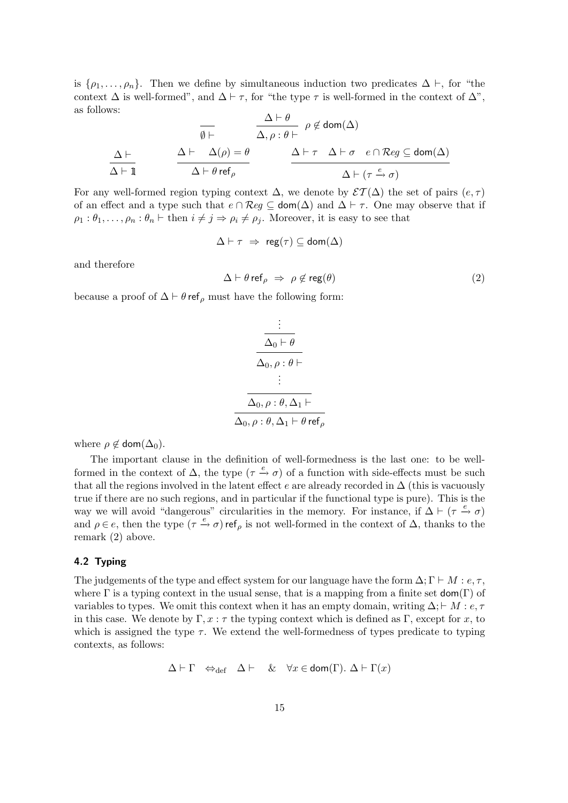is  $\{\rho_1, \ldots, \rho_n\}$ . Then we define by simultaneous induction two predicates  $\Delta \vdash$ , for "the context  $\Delta$  is well-formed", and  $\Delta \vdash \tau$ , for "the type  $\tau$  is well-formed in the context of  $\Delta$ ", as follows:

$$
\frac{\Delta \vdash \theta}{\emptyset \vdash} \qquad \frac{\Delta \vdash \theta}{\Delta, \rho : \theta \vdash} \quad \rho \notin \text{dom}(\Delta)
$$
\n
$$
\frac{\Delta \vdash}{\Delta \vdash 1} \qquad \frac{\Delta \vdash \Delta(\rho) = \theta}{\Delta \vdash \theta \text{ ref}_{\rho}} \qquad \frac{\Delta \vdash \tau \quad \Delta \vdash \sigma \quad e \cap \text{Reg} \subseteq \text{dom}(\Delta)}{\Delta \vdash (\tau \xrightarrow{e} \sigma)}
$$

For any well-formed region typing context  $\Delta$ , we denote by  $\mathcal{ET}(\Delta)$  the set of pairs  $(e, \tau)$ of an effect and a type such that  $e \cap Reg \subseteq dom(\Delta)$  and  $\Delta \vdash \tau$ . One may observe that if  $\rho_1 : \theta_1, \ldots, \rho_n : \theta_n \vdash \text{then } i \neq j \Rightarrow \rho_i \neq \rho_j$ . Moreover, it is easy to see that

$$
\Delta \vdash \tau \;\Rightarrow\; \mathsf{reg}(\tau) \subseteq \mathsf{dom}(\Delta)
$$

and therefore

$$
\Delta \vdash \theta \operatorname{ref}_{\rho} \;\Rightarrow\; \rho \notin \operatorname{reg}(\theta) \tag{2}
$$

because a proof of  $\Delta \vdash \theta$  ref<sub>ρ</sub> must have the following form:

$$
\frac{\frac{\vdots}{\Delta_0 \vdash \theta}}{\Delta_0, \rho : \theta \vdash}
$$
  

$$
\frac{\Delta_0, \rho : \theta, \Delta_1 \vdash}{\Delta_0, \rho : \theta, \Delta_1 \vdash \theta \text{ ref}_\rho}
$$

where  $\rho \notin \text{dom}(\Delta_0)$ .

The important clause in the definition of well-formedness is the last one: to be wellformed in the context of  $\Delta$ , the type  $(\tau \xrightarrow{e} \sigma)$  of a function with side-effects must be such that all the regions involved in the latent effect e are already recorded in  $\Delta$  (this is vacuously true if there are no such regions, and in particular if the functional type is pure). This is the way we will avoid "dangerous" circularities in the memory. For instance, if  $\Delta \vdash (\tau \stackrel{e}{\rightarrow} \sigma)$ and  $\rho \in e$ , then the type  $(\tau \xrightarrow{e} \sigma)$  ref<sub> $\rho$ </sub> is not well-formed in the context of  $\Delta$ , thanks to the remark (2) above.

#### 4.2 Typing

The judgements of the type and effect system for our language have the form  $\Delta; \Gamma \vdash M : e, \tau$ , where  $\Gamma$  is a typing context in the usual sense, that is a mapping from a finite set  $\mathsf{dom}(\Gamma)$  of variables to types. We omit this context when it has an empty domain, writing  $\Delta$ ;  $\vdash M : e, \tau$ in this case. We denote by  $\Gamma, x : \tau$  the typing context which is defined as  $\Gamma$ , except for x, to which is assigned the type  $\tau$ . We extend the well-formedness of types predicate to typing contexts, as follows:

$$
\Delta \vdash \Gamma \Leftrightarrow_{\mathrm{def}} \Delta \vdash \& \forall x \in \mathrm{dom}(\Gamma). \; \Delta \vdash \Gamma(x)
$$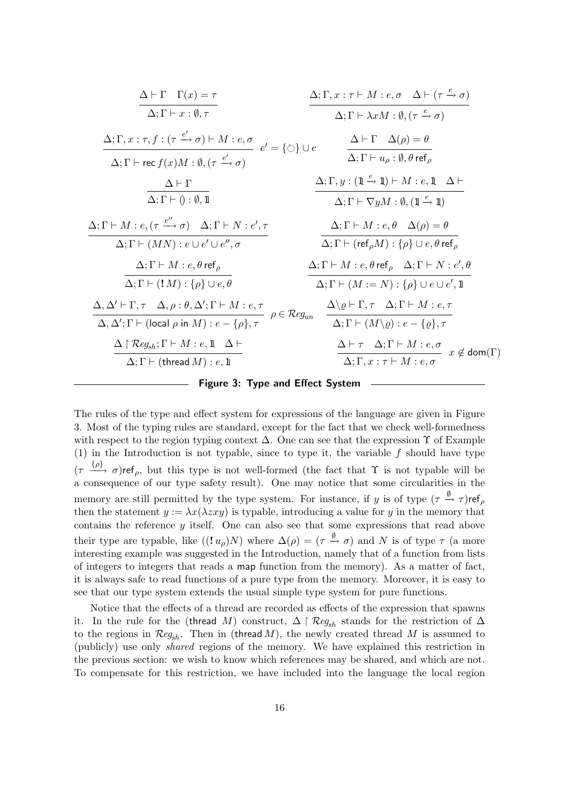$$
\frac{\Delta \vdash \Gamma \quad \Gamma(x) = \tau}{\Delta; \Gamma \vdash x : \emptyset, \tau} \qquad \frac{\Delta; \Gamma, x : \tau \vdash M : e, \sigma \quad \Delta \vdash (\tau \xrightarrow{e})}{\Delta; \Gamma \vdash \lambda x M : \emptyset, (\tau \xrightarrow{e})}
$$
\n
$$
\frac{\Delta; \Gamma, x : \tau, f : (\tau \xrightarrow{e'}) \vdash M : e, \sigma}{\Delta; \Gamma \vdash x M : \emptyset, (\tau \xrightarrow{e})} e' = \{\circlearrowright \} \cup e \qquad \frac{\Delta \vdash \Gamma \quad \Delta(\rho) = \theta}{\Delta; \Gamma \vdash u_{\rho} : \emptyset, \theta \text{ ref}_{\rho}}
$$
\n
$$
\frac{\Delta \vdash \Gamma}{\Delta; \Gamma \vdash 0 : \emptyset, \mathbb{1}} \qquad \frac{\Delta; \Gamma, y : (\mathbb{1} \xrightarrow{e} \mathbb{1}) \vdash M : e, \mathbb{1} \quad \Delta \vdash}{\Delta; \Gamma \vdash y M : \emptyset, (\mathbb{1} \xrightarrow{e} \mathbb{1})}
$$
\n
$$
\frac{\Delta; \Gamma \vdash M : e, (\tau \xrightarrow{e''} \sigma) \quad \Delta; \Gamma \vdash N : e', \tau}{\Delta; \Gamma \vdash (MN) : e \cup e' \cup e'', \sigma} \qquad \frac{\Delta; \Gamma \vdash M : e, \theta \quad \Delta(\rho) = \theta}{\Delta; \Gamma \vdash (\text{ref}_{\rho}M) : \{\rho\} \cup e, \theta \text{ ref}_{\rho}}
$$
\n
$$
\frac{\Delta; \Gamma \vdash M : e, \theta \text{ ref}_{\rho}}{\Delta; \Gamma \vdash (M) : \{\rho\} \cup e, \theta} \qquad \frac{\Delta; \Gamma \vdash M : e, \theta \text{ ref}_{\rho} \quad \Delta; \Gamma \vdash N : e', \theta}{\Delta; \Gamma \vdash (M := N) : \{\rho\} \cup e \cup e', \mathbb{1}}
$$
\n
$$
\frac{\Delta, \Delta' \vdash \Gamma, \tau \quad \Delta, \rho : \theta, \Delta'; \Gamma \vdash M : e, \tau}{\Delta, \Delta'; \Gamma \vdash (\text{local } \rho \text{ in } M) : e - \{\rho\}, \tau} \qquad \rho \in \mathcal{R}e_{g_{un}} \qquad \frac{\Delta \downarrow e \vdash \Gamma, \tau \quad \Delta
$$



The rules of the type and effect system for expressions of the language are given in Figure 3. Most of the typing rules are standard, except for the fact that we check well-formedness with respect to the region typing context  $\Delta$ . One can see that the expression  $\Upsilon$  of Example (1) in the Introduction is not typable, since to type it, the variable  $f$  should have type  $(\tau \stackrel{\{\rho\}}{\longrightarrow} \sigma)$ ref<sub>ρ</sub>, but this type is not well-formed (the fact that  $\Upsilon$  is not typable will be a consequence of our type safety result). One may notice that some circularities in the memory are still permitted by the type system. For instance, if y is of type  $(\tau \xrightarrow{\emptyset} \tau)$ ref<sub> $\rho$ </sub> then the statement  $y := \lambda x(\lambda zxy)$  is typable, introducing a value for y in the memory that contains the reference  $y$  itself. One can also see that some expressions that read above their type are typable, like  $((\ell u_{\rho})N)$  where  $\Delta(\rho) = (\tau \stackrel{\emptyset}{\to} \sigma)$  and N is of type  $\tau$  (a more interesting example was suggested in the Introduction, namely that of a function from lists of integers to integers that reads a map function from the memory). As a matter of fact, it is always safe to read functions of a pure type from the memory. Moreover, it is easy to see that our type system extends the usual simple type system for pure functions.

Notice that the effects of a thread are recorded as effects of the expression that spawns it. In the rule for the (thread M) construct,  $\Delta \upharpoonright \mathcal{R}eg_{sh}$  stands for the restriction of  $\Delta$ to the regions in  $\mathcal{R}eg_{sh}$ . Then in (thread M), the newly created thread M is assumed to (publicly) use only shared regions of the memory. We have explained this restriction in the previous section: we wish to know which references may be shared, and which are not. To compensate for this restriction, we have included into the language the local region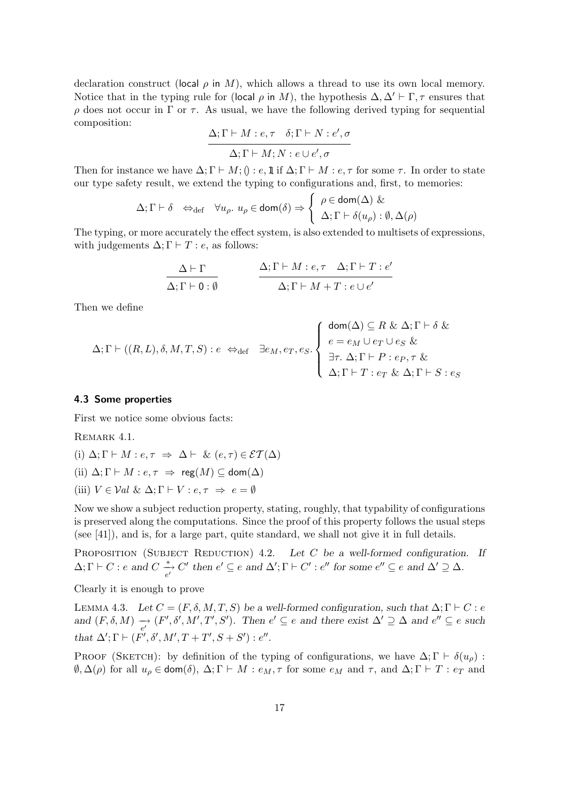declaration construct (local  $\rho$  in M), which allows a thread to use its own local memory. Notice that in the typing rule for (local  $\rho$  in M), the hypothesis  $\Delta, \Delta' \vdash \Gamma, \tau$  ensures that  $ρ$  does not occur in Γ or τ. As usual, we have the following derived typing for sequential composition:

$$
\frac{\Delta; \Gamma \vdash M : e, \tau \quad \delta; \Gamma \vdash N : e', \sigma}{\Delta; \Gamma \vdash M; N : e \cup e', \sigma}
$$

Then for instance we have  $\Delta; \Gamma \vdash M; () : e, \mathbb{1}$  if  $\Delta; \Gamma \vdash M : e, \tau$  for some  $\tau$ . In order to state our type safety result, we extend the typing to configurations and, first, to memories:

$$
\Delta; \Gamma \vdash \delta \quad \Leftrightarrow_{\mathrm{def}} \quad \forall u_{\rho}. \ u_{\rho} \in \mathrm{dom}(\delta) \Rightarrow \left\{ \begin{array}{l} \rho \in \mathrm{dom}(\Delta) \ \& \\ \Delta; \Gamma \vdash \delta(u_{\rho}) : \emptyset, \Delta(\rho) \end{array} \right.
$$

The typing, or more accurately the effect system, is also extended to multisets of expressions, with judgements  $\Delta; \Gamma \vdash T : e$ , as follows:

$$
\Delta \vdash \Gamma
$$
\n
$$
\Delta; \Gamma \vdash 0: \emptyset
$$
\n
$$
\Delta; \Gamma \vdash M: e, \tau \quad \Delta; \Gamma \vdash T: e'
$$
\n
$$
\Delta; \Gamma \vdash M + T: e \cup e'
$$

Then we define

$$
\Delta; \Gamma \vdash ((R, L), \delta, M, T, S) : e \Leftrightarrow_{def} \exists e_M, e_T, e_S. \begin{cases} \text{dom}(\Delta) \subseteq R \& \Delta; \Gamma \vdash \delta \& \\ e = e_M \cup e_T \cup e_S \& \\ \exists \tau. \ \Delta; \Gamma \vdash P : e_P, \tau \& \\ \Delta; \Gamma \vdash T : e_T \& \Delta; \Gamma \vdash S : e_S \end{cases}
$$

#### 4.3 Some properties

First we notice some obvious facts:

REMARK 4.1.

(i) 
$$
\Delta; \Gamma \vdash M : e, \tau \Rightarrow \Delta \vdash \& (e, \tau) \in \mathcal{ET}(\Delta)
$$

(ii) 
$$
\Delta
$$
;  $\Gamma \vdash M : e, \tau \Rightarrow \text{reg}(M) \subseteq \text{dom}(\Delta)$ 

(iii)  $V \in \mathcal{V}al \& \Delta; \Gamma \vdash V : e, \tau \Rightarrow e = \emptyset$ 

Now we show a subject reduction property, stating, roughly, that typability of configurations is preserved along the computations. Since the proof of this property follows the usual steps (see [41]), and is, for a large part, quite standard, we shall not give it in full details.

PROPOSITION (SUBJECT REDUCTION) 4.2. Let  $C$  be a well-formed configuration. If  $\Delta; \Gamma \vdash C : e \text{ and } C \stackrel{*}{\to} C' \text{ then } e' \subseteq e \text{ and } \Delta'; \Gamma \vdash C' : e'' \text{ for some } e'' \subseteq e \text{ and } \Delta' \supseteq \Delta.$ 

Clearly it is enough to prove

LEMMA 4.3. Let  $C = (F, \delta, M, T, S)$  be a well-formed configuration, such that  $\Delta; \Gamma \vdash C : e$ and  $(F, \delta, M) \rightarrow (F', \delta', M', T', S')$ . Then  $e' \subseteq e$  and there exist  $\Delta' \supseteq \Delta$  and  $e'' \subseteq e$  such that  $\Delta'$ ;  $\Gamma \vdash (F', \delta', M', T + T', S + S') : e''$ .

PROOF (SKETCH): by definition of the typing of configurations, we have  $\Delta; \Gamma \vdash \delta(u_{\rho})$ :  $\emptyset, \Delta(\rho)$  for all  $u_\rho \in \text{dom}(\delta)$ ,  $\Delta; \Gamma \vdash M : e_M, \tau$  for some  $e_M$  and  $\tau$ , and  $\Delta; \Gamma \vdash T : e_T$  and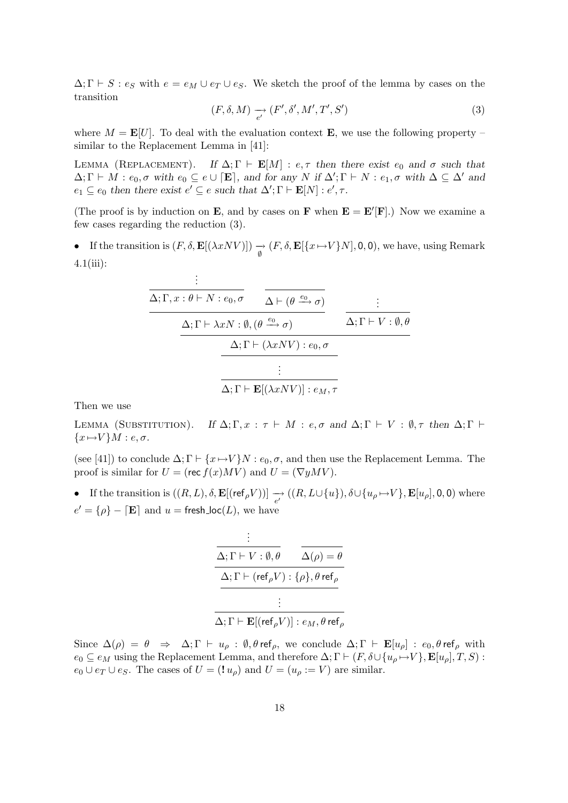$\Delta;\Gamma \vdash S : e_S$  with  $e = e_M \cup e_T \cup e_S$ . We sketch the proof of the lemma by cases on the transition

$$
(F, \delta, M) \underset{e'}{\longrightarrow} (F', \delta', M', T', S') \tag{3}
$$

where  $M = E[U]$ . To deal with the evaluation context **E**, we use the following property – similar to the Replacement Lemma in [41]:

LEMMA (REPLACEMENT). If  $\Delta; \Gamma \vdash \mathbf{E}[M] : e, \tau$  then there exist  $e_0$  and  $\sigma$  such that  $\Delta; \Gamma \vdash M : e_0, \sigma \text{ with } e_0 \subseteq e \cup [\mathbf{E}], \text{ and for any } N \text{ if } \Delta'; \Gamma \vdash N : e_1, \sigma \text{ with } \Delta \subseteq \Delta' \text{ and }$  $e_1 \subseteq e_0$  then there exist  $e' \subseteq e$  such that  $\Delta'; \Gamma \vdash \mathbf{E}[N] : e', \tau$ .

(The proof is by induction on **E**, and by cases on **F** when  $\mathbf{E} = \mathbf{E}'[\mathbf{F}]$ .) Now we examine a few cases regarding the reduction (3).

• If the transition is  $(F, \delta, \mathbf{E}[(\lambda xNV)]) \rightarrow (F, \delta, \mathbf{E}[\{x \mapsto V\}N], 0, 0)$ , we have, using Remark  $4.1(iii)$ :

$$
\frac{\vdots}{\Delta; \Gamma, x : \theta \vdash N : e_0, \sigma} \quad \frac{\Delta \vdash (\theta \xrightarrow{e_0} \sigma)}{\Delta \vdash (\theta \xrightarrow{e_0} \sigma)} \qquad \vdots
$$
\n
$$
\frac{\Delta; \Gamma \vdash \lambda x N : \emptyset, (\theta \xrightarrow{e_0} \sigma)}{\Delta; \Gamma \vdash (\lambda x N V) : e_0, \sigma}
$$
\n
$$
\vdots
$$
\n
$$
\Delta; \Gamma \vdash \mathbf{E}[(\lambda x N V) : e_M, \tau]
$$

Then we use

LEMMA (SUBSTITUTION). If  $\Delta; \Gamma, x : \tau \vdash M : e, \sigma$  and  $\Delta; \Gamma \vdash V : \emptyset, \tau$  then  $\Delta; \Gamma \vdash$  ${x \mapsto}V$   $M : e, \sigma$ .

(see [41]) to conclude  $\Delta; \Gamma \vdash \{x \mapsto V\}N : e_0, \sigma$ , and then use the Replacement Lemma. The proof is similar for  $U = (rec f(x)MV)$  and  $U = (\nabla yMV)$ .

• If the transition is  $((R, L), \delta, \mathbf{E}[(\text{ref}_{\rho}V))] \rightarrow ((R, L\cup \{u\}), \delta \cup \{u_{\rho} \mapsto V\}, \mathbf{E}[u_{\rho}], 0, 0)$  where  $e' = {\rho} - [E]$  and  $u = \text{fresh\_loc}(L)$ , we have

$$
\begin{array}{cc}\n\vdots & \pi(\Delta; \Gamma \vdash V : \emptyset, \theta) \\
\hline\n\Delta; \Gamma \vdash (\mathsf{ref}_{\rho} V) : \{\rho\}, \theta \mathsf{ref}_{\rho} \\
\hline\n\vdots & \vdots \\
\hline\n\Delta; \Gamma \vdash \mathbf{E}[(\mathsf{ref}_{\rho} V)] : e_M, \theta \mathsf{ref}_{\rho}\n\end{array}
$$

Since  $\Delta(\rho) = \theta \Rightarrow \Delta; \Gamma \vdash u_{\rho} : \emptyset, \theta \text{ ref}_{\rho}$ , we conclude  $\Delta; \Gamma \vdash \mathbf{E}[u_{\rho}] : e_0, \theta \text{ ref}_{\rho}$  with  $e_0 \subseteq e_M$  using the Replacement Lemma, and therefore  $\Delta; \Gamma \vdash (F, \delta \cup \{u_\rho \mapsto V\}, \mathbf{E}[u_\rho], T, S)$ :  $e_0 \cup e_T \cup e_S$ . The cases of  $U = (\mathfrak{u}_{\rho})$  and  $U = (u_{\rho} := V)$  are similar.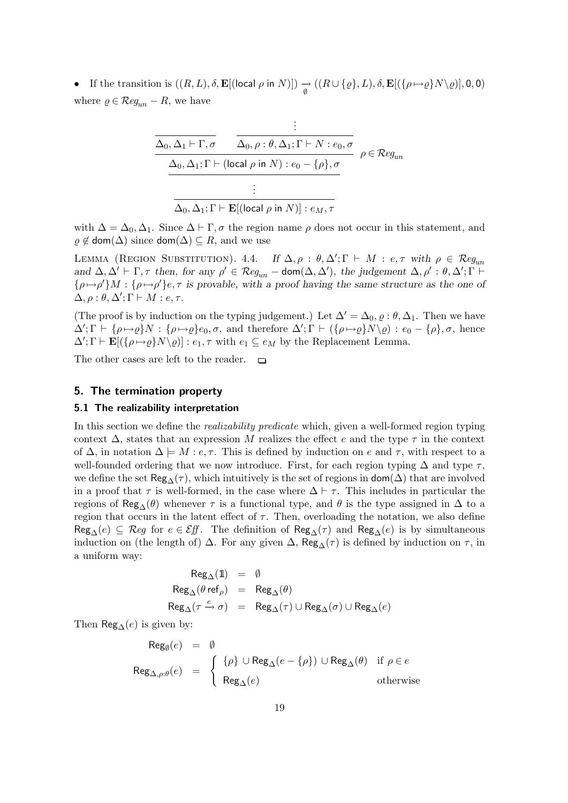• If the transition is  $((R, L), \delta, \mathbf{E}[(\text{local } \rho \text{ in } N)]) \rightarrow (R \cup \{\varrho\}, L), \delta, \mathbf{E}[(\{\rho \mapsto \varrho\} N \setminus \varrho)], 0, 0)$ where  $\rho \in \mathcal{R}eg_{un} - R$ , we have

$$
\frac{\vdots}{\Delta_0, \Delta_1 \vdash \Gamma, \sigma} \qquad \frac{\vdots}{\Delta_0, \rho : \theta, \Delta_1; \Gamma \vdash N : e_0, \sigma}
$$
\n
$$
\Delta_0, \Delta_1; \Gamma \vdash (\text{local } \rho \text{ in } N) : e_0 - \{\rho\}, \sigma
$$
\n
$$
\vdots
$$
\n
$$
\Delta_0, \Delta_1; \Gamma \vdash \mathbf{E}[(\text{local } \rho \text{ in } N)] : e_M, \tau
$$

with  $\Delta = \Delta_0, \Delta_1$ . Since  $\Delta \vdash \Gamma$ ,  $\sigma$  the region name  $\rho$  does not occur in this statement, and  $\varrho \notin \text{dom}(\Delta)$  since  $\text{dom}(\Delta) \subseteq R$ , and we use

LEMMA (REGION SUBSTITUTION). 4.4. If  $\Delta, \rho : \theta, \Delta'; \Gamma \vdash M : e, \tau$  with  $\rho \in \mathcal{R}eg_{un}$ and  $\Delta, \Delta' \vdash \Gamma, \tau$  then, for any  $\rho' \in \mathcal{R}eg_{un}$  – dom $(\Delta, \Delta')$ , the judgement  $\Delta, \rho' : \theta, \Delta'; \Gamma \vdash$  $\{\rho \mapsto \rho'\}M : \{\rho \mapsto \rho'\}e, \tau$  is provable, with a proof having the same structure as the one of  $\Delta, \rho : \theta, \Delta'; \Gamma \vdash M : e, \tau.$ 

(The proof is by induction on the typing judgement.) Let  $\Delta' = \Delta_0, \varrho : \theta, \Delta_1$ . Then we have  $\Delta'; \Gamma \vdash \{\rho \mapsto \varrho\} \Lambda : \{\rho \mapsto \varrho\} e_0, \sigma$ , and therefore  $\Delta'; \Gamma \vdash (\{\rho \mapsto \varrho\} \Lambda \setminus \varrho) : e_0 - \{\rho\}, \sigma$ , hence  $\Delta'; \Gamma \vdash \mathbf{E}[(\{\rho \mapsto \rho\} N \setminus \rho)] : e_1, \tau \text{ with } e_1 \subseteq e_M \text{ by the Replacement Lemma.}$ 

The other cases are left to the reader.  $\Box$ 

## 5. The termination property

#### 5.1 The realizability interpretation

In this section we define the *realizability predicate* which, given a well-formed region typing context  $\Delta$ , states that an expression M realizes the effect e and the type  $\tau$  in the context of  $\Delta$ , in notation  $\Delta \models M : e, \tau$ . This is defined by induction on e and  $\tau$ , with respect to a well-founded ordering that we now introduce. First, for each region typing  $\Delta$  and type  $\tau$ , we define the set Reg<sub>∧</sub>( $\tau$ ), which intuitively is the set of regions in dom( $\Delta$ ) that are involved in a proof that  $\tau$  is well-formed, in the case where  $\Delta \vdash \tau$ . This includes in particular the regions of Reg<sub>∧</sub>( $\theta$ ) whenever  $\tau$  is a functional type, and  $\theta$  is the type assigned in  $\Delta$  to a region that occurs in the latent effect of  $\tau$ . Then, overloading the notation, we also define  $\text{Reg}_{\Delta}(e) \subseteq \mathcal{R}$ eg for  $e \in \mathcal{E}$ ff. The definition of  $\text{Reg}_{\Delta}(\tau)$  and  $\text{Reg}_{\Delta}(e)$  is by simultaneous induction on (the length of)  $\Delta$ . For any given  $\Delta$ , Reg<sub> $\Delta$ </sub> $(\tau)$  is defined by induction on  $\tau$ , in a uniform way:

$$
\begin{array}{rcl} \mathsf{Reg}_{\Delta}(\mathbb{1}) & = & \emptyset \\ \mathsf{Reg}_{\Delta}(\theta\,\mathsf{ref}_{\rho}) & = & \mathsf{Reg}_{\Delta}(\theta) \\ \mathsf{Reg}_{\Delta}(\tau \xrightarrow{e}\sigma) & = & \mathsf{Reg}_{\Delta}(\tau) \cup \mathsf{Reg}_{\Delta}(\sigma) \cup \mathsf{Reg}_{\Delta}(e) \end{array}
$$

Then Reg<sub>∆</sub> $(e)$  is given by:

$$
\begin{array}{rcl} \mathsf{Reg}_{\emptyset}(e) & = & \emptyset \\ & \\ \mathsf{Reg}_{\Delta,\rho:\theta}(e) & = & \left\{ \begin{array}{l} \{\rho\} \,\cup \, \mathsf{Reg}_{\Delta}(e - \{\rho\}) \,\cup \, \mathsf{Reg}_{\Delta}(\theta) & \text{if} \,\, \rho \in e \\ & \\ \mathsf{Reg}_{\Delta}(e) & \text{otherwise} \end{array} \right. \end{array}
$$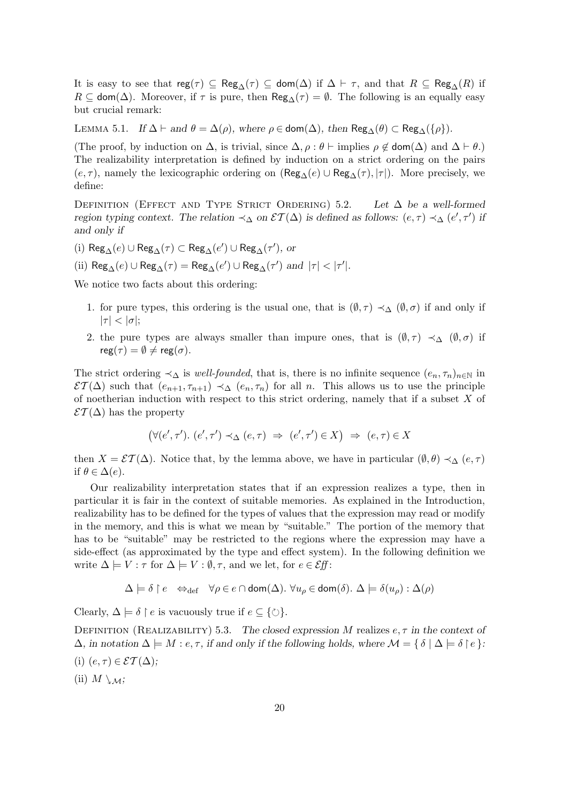It is easy to see that  $reg(\tau) \subseteq Reg_{\Delta}(\tau) \subseteq dom(\Delta)$  if  $\Delta \vdash \tau$ , and that  $R \subseteq Reg_{\Delta}(R)$  if  $R \subseteq \text{dom}(\Delta)$ . Moreover, if  $\tau$  is pure, then  $\text{Reg}_{\Delta}(\tau) = \emptyset$ . The following is an equally easy but crucial remark:

LEMMA 5.1. If  $\Delta \vdash$  and  $\theta = \Delta(\rho)$ , where  $\rho \in \text{dom}(\Delta)$ , then  $\text{Reg}_{\Delta}(\theta) \subset \text{Reg}_{\Delta}(\{\rho\})$ .

(The proof, by induction on  $\Delta$ , is trivial, since  $\Delta$ ,  $\rho : \theta \vdash$  implies  $\rho \notin \text{dom}(\Delta)$  and  $\Delta \vdash \theta$ .) The realizability interpretation is defined by induction on a strict ordering on the pairs  $(e, \tau)$ , namely the lexicographic ordering on  $(\text{Reg}_{\Delta}(e) \cup \text{Reg}_{\Delta}(\tau), |\tau|)$ . More precisely, we define:

DEFINITION (EFFECT AND TYPE STRICT ORDERING) 5.2. Let  $\Delta$  be a well-formed region typing context. The relation  $\prec_{\Delta}$  on  $\mathcal{ET}(\Delta)$  is defined as follows:  $(e, \tau) \prec_{\Delta} (e', \tau')$  if and only if

- (i)  $\mathsf{Reg}_{\Delta}(e) \cup \mathsf{Reg}_{\Delta}(\tau) \subset \mathsf{Reg}_{\Delta}(e') \cup \mathsf{Reg}_{\Delta}(\tau'),$  or
- (ii)  $\mathsf{Reg}_{\Delta}(e) \cup \mathsf{Reg}_{\Delta}(\tau) = \mathsf{Reg}_{\Delta}(e') \cup \mathsf{Reg}_{\Delta}(\tau')$  and  $|\tau| < |\tau'|$ .

We notice two facts about this ordering:

- 1. for pure types, this ordering is the usual one, that is  $(\emptyset, \tau) \prec_{\Delta} (\emptyset, \sigma)$  if and only if  $|\tau| < |\sigma|$ ;
- 2. the pure types are always smaller than impure ones, that is  $(\emptyset, \tau) \prec_{\Delta} (\emptyset, \sigma)$  if  $reg(\tau) = \emptyset \neq reg(\sigma)$ .

The strict ordering  $\prec_{\Delta}$  is well-founded, that is, there is no infinite sequence  $(e_n, \tau_n)_{n\in\mathbb{N}}$  in  $\mathcal{E}(\Delta)$  such that  $(e_{n+1}, \tau_{n+1}) \prec_{\Delta} (e_n, \tau_n)$  for all n. This allows us to use the principle of noetherian induction with respect to this strict ordering, namely that if a subset  $X$  of  $\mathcal{E}\mathcal{T}(\Delta)$  has the property

$$
(\forall (e', \tau').\ (e', \tau') \prec_{\Delta} (e, \tau) \Rightarrow (e', \tau') \in X) \Rightarrow (e, \tau) \in X
$$

then  $X = \mathcal{ET}(\Delta)$ . Notice that, by the lemma above, we have in particular  $(\emptyset, \theta) \prec_{\Delta} (e, \tau)$ if  $\theta \in \Delta(e)$ .

Our realizability interpretation states that if an expression realizes a type, then in particular it is fair in the context of suitable memories. As explained in the Introduction, realizability has to be defined for the types of values that the expression may read or modify in the memory, and this is what we mean by "suitable." The portion of the memory that has to be "suitable" may be restricted to the regions where the expression may have a side-effect (as approximated by the type and effect system). In the following definition we write  $\Delta \models V : \tau$  for  $\Delta \models V : \emptyset, \tau$ , and we let, for  $e \in \mathcal{E} \text{ff}$ :

$$
\Delta \models \delta \restriction e \iff \qquad \forall \rho \in e \cap \text{dom}(\Delta). \ \forall u_{\rho} \in \text{dom}(\delta). \ \Delta \models \delta(u_{\rho}) : \Delta(\rho)
$$

Clearly,  $\Delta \models \delta \restriction e$  is vacuously true if  $e \subseteq \{\circlearrowright\}.$ 

DEFINITION (REALIZABILITY) 5.3. The closed expression M realizes  $e, \tau$  in the context of  $\Delta$ , in notation  $\Delta \models M : e, \tau$ , if and only if the following holds, where  $\mathcal{M} = \{\delta \mid \Delta \models \delta \mid e\}$ : (i)  $(e, \tau) \in \mathcal{ET}(\Delta);$ 

(ii)  $M \setminus \mathcal{M}$ ;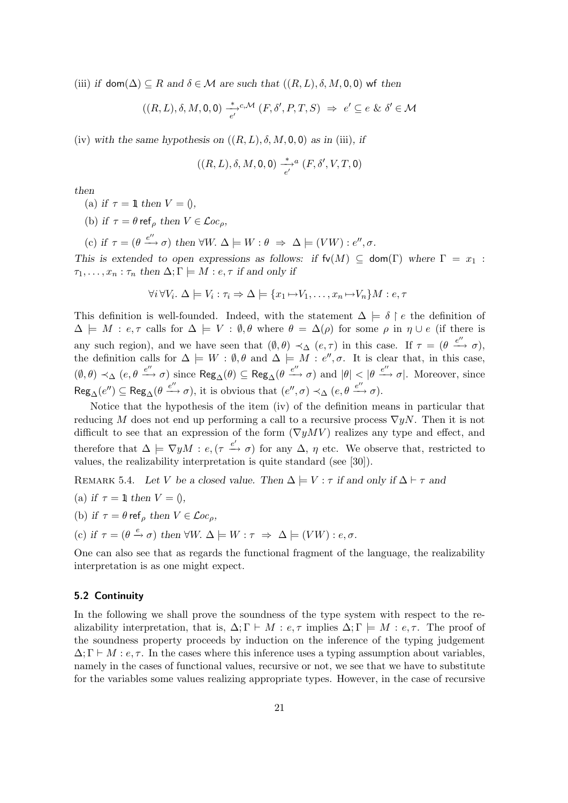(iii) if dom( $\Delta$ )  $\subseteq$  R and  $\delta \in \mathcal{M}$  are such that  $((R, L), \delta, M, 0, 0)$  wf then

$$
((R, L), \delta, M, 0, 0) \xrightarrow{*} c, M \ (F, \delta', P, T, S) \Rightarrow e' \subseteq e \ \& \ \delta' \in \mathcal{M}
$$

(iv) with the same hypothesis on  $((R, L), \delta, M, 0, 0)$  as in (iii), if

$$
((R,L), \delta, M, 0, 0) \xrightarrow[e']{}^{*} (F, \delta', V, T, 0)
$$

then

- (a) if  $\tau = 1$  then  $V = 0$ ,
- (b) if  $\tau = \theta$  ref<sub>o</sub> then  $V \in \mathcal{L}oc_0$ ,
- (c) if  $\tau = (\theta \stackrel{e''}{\longrightarrow} \sigma)$  then  $\forall W. \ \Delta \models W : \theta \Rightarrow \Delta \models (VW) : e'', \sigma$ .

This is extended to open expressions as follows: if  $f(v(M) \subset dom(\Gamma))$  where  $\Gamma = x_1$ :  $\tau_1, \ldots, x_n : \tau_n$  then  $\Delta; \Gamma \models M : e, \tau$  if and only if

$$
\forall i \,\forall V_i. \ \Delta \models V_i : \tau_i \Rightarrow \Delta \models \{x_1 \mapsto V_1, \dots, x_n \mapsto V_n\}M : e, \tau
$$

This definition is well-founded. Indeed, with the statement  $\Delta \models \delta \restriction e$  the definition of  $\Delta \models M : e, \tau$  calls for  $\Delta \models V : \emptyset, \theta$  where  $\theta = \Delta(\rho)$  for some  $\rho$  in  $\eta \cup e$  (if there is any such region), and we have seen that  $(\emptyset, \theta) \prec_{\Delta} (e, \tau)$  in this case. If  $\tau = (\theta \stackrel{e''}{\longrightarrow} \sigma)$ , the definition calls for  $\Delta \models W : \emptyset, \theta$  and  $\Delta \models M : e'', \sigma$ . It is clear that, in this case,  $(\emptyset, \theta) \prec_{\Delta} (e, \theta \stackrel{e''}{\longrightarrow} \sigma)$  since  $\text{Reg}_{\Delta}(\theta) \subseteq \text{Reg}_{\Delta}(\theta \stackrel{e''}{\longrightarrow} \sigma)$  and  $|\theta| < |\theta \stackrel{e''}{\longrightarrow} \sigma|$ . Moreover, since  $\mathsf{Reg}_{\Delta}(e'') \subseteq \mathsf{Reg}_{\Delta}(\theta \xrightarrow{e''} \sigma)$ , it is obvious that  $(e'', \sigma) \prec_{\Delta} (e, \theta \xrightarrow{e''} \sigma)$ .

Notice that the hypothesis of the item (iv) of the definition means in particular that reducing M does not end up performing a call to a recursive process  $\nabla yN$ . Then it is not difficult to see that an expression of the form  $(\nabla yMV)$  realizes any type and effect, and therefore that  $\Delta \models \nabla yM : e, (\tau \stackrel{e'}{\rightarrow} \sigma)$  for any  $\Delta$ ,  $\eta$  etc. We observe that, restricted to values, the realizability interpretation is quite standard (see [30]).

REMARK 5.4. Let V be a closed value. Then  $\Delta \models V : \tau$  if and only if  $\Delta \vdash \tau$  and

- (a) if  $\tau = 1$  then  $V = 0$ ,
- (b) if  $\tau = \theta$  ref<sub>ρ</sub> then  $V \in \mathcal{L}oc_{\rho}$ ,
- (c) if  $\tau = (\theta \stackrel{e}{\rightarrow} \sigma)$  then  $\forall W$ .  $\Delta \models W : \tau \Rightarrow \Delta \models (VW) : e, \sigma$ .

One can also see that as regards the functional fragment of the language, the realizability interpretation is as one might expect.

#### 5.2 Continuity

In the following we shall prove the soundness of the type system with respect to the realizability interpretation, that is,  $\Delta; \Gamma \vdash M : e, \tau$  implies  $\Delta; \Gamma \models M : e, \tau$ . The proof of the soundness property proceeds by induction on the inference of the typing judgement  $\Delta; \Gamma \vdash M : e, \tau$ . In the cases where this inference uses a typing assumption about variables, namely in the cases of functional values, recursive or not, we see that we have to substitute for the variables some values realizing appropriate types. However, in the case of recursive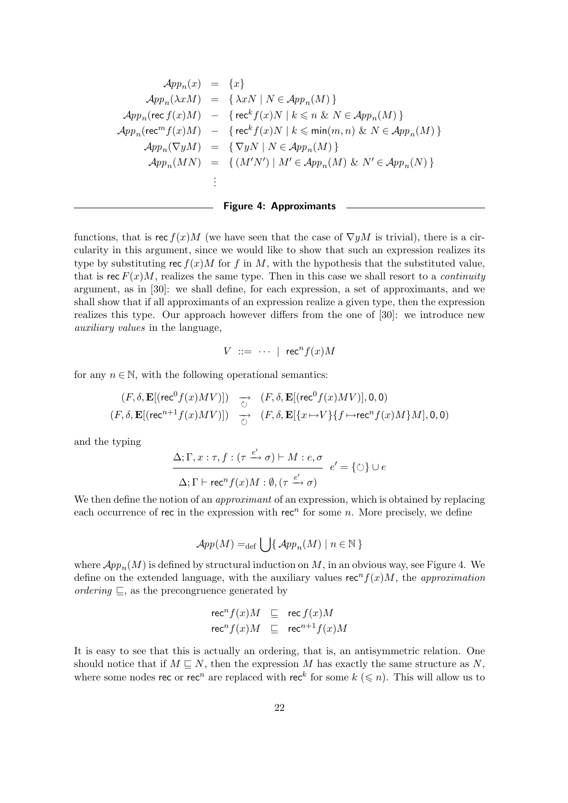$$
App_n(x) = \{x\}
$$
  
\n
$$
App_n(\lambda xM) = \{\lambda xN \mid N \in App_n(M)\}
$$
  
\n
$$
App_n(\text{rec } f(x)M) - \{\text{rec}^k f(x)N \mid k \leq n \& N \in App_n(M)\}
$$
  
\n
$$
App_n(\text{rec}^m f(x)M) - \{\text{rec}^k f(x)N \mid k \leq \min(m, n) \& N \in App_n(M)\}
$$
  
\n
$$
App_n(\nabla yM) = \{\nabla yN \mid N \in App_n(M)\}
$$
  
\n
$$
App_n(MN) = \{(M'N') \mid M' \in App_n(M) \& N' \in App_n(N)\}
$$
  
\n
$$
\vdots
$$



functions, that is rec  $f(x)M$  (we have seen that the case of  $\nabla yM$  is trivial), there is a circularity in this argument, since we would like to show that such an expression realizes its type by substituting rec  $f(x)$ M for f in M, with the hypothesis that the substituted value, that is rec  $F(x)M$ , realizes the same type. Then in this case we shall resort to a *continuity* argument, as in [30]: we shall define, for each expression, a set of approximants, and we shall show that if all approximants of an expression realize a given type, then the expression realizes this type. Our approach however differs from the one of [30]: we introduce new auxiliary values in the language,

$$
V ::= \cdots | \operatorname{rec}^n f(x)M
$$

for any  $n \in \mathbb{N}$ , with the following operational semantics:

$$
(F, \delta, \mathbf{E}[(\mathbf{rec}^0 f(x)MV)]) \quad \underset{\circlearrowright}{\longrightarrow} \quad (F, \delta, \mathbf{E}[(\mathbf{rec}^0 f(x)MV)], 0, 0)
$$
\n
$$
(F, \delta, \mathbf{E}[(\mathbf{rec}^{n+1} f(x)MV)]) \quad \underset{\circlearrowright}{\longrightarrow} \quad (F, \delta, \mathbf{E}[\{x \mapsto V\} \{f \mapsto \mathbf{rec}^n f(x)M\}M], 0, 0)
$$

and the typing

$$
\frac{\Delta; \Gamma, x: \tau, f: (\tau \xrightarrow{e'} \sigma) \vdash M: e, \sigma}{\Delta; \Gamma \vdash \text{rec}^n f(x)M: \emptyset, (\tau \xrightarrow{e'} \sigma)} \quad e' = \{\circlearrowright\} \cup e
$$

We then define the notion of an *approximant* of an expression, which is obtained by replacing each occurrence of rec in the expression with rec<sup>n</sup> for some n. More precisely, we define

$$
App(M) =_{\text{def}} \bigcup \{ App_n(M) \mid n \in \mathbb{N} \}
$$

where  $App_n(M)$  is defined by structural induction on M, in an obvious way, see Figure 4. We define on the extended language, with the auxiliary values rec<sup>n</sup> $f(x)M$ , the approximation ordering  $\sqsubseteq$ , as the precongruence generated by

$$
\begin{array}{rcl}\n\mathsf{rec}^n f(x)M & \sqsubseteq & \mathsf{rec}\, f(x)M \\
\mathsf{rec}^n f(x)M & \sqsubseteq & \mathsf{rec}^{n+1} f(x)M\n\end{array}
$$

It is easy to see that this is actually an ordering, that is, an antisymmetric relation. One should notice that if  $M \subseteq N$ , then the expression M has exactly the same structure as N, where some nodes rec or rec<sup>n</sup> are replaced with rec<sup>k</sup> for some  $k \leq n$ . This will allow us to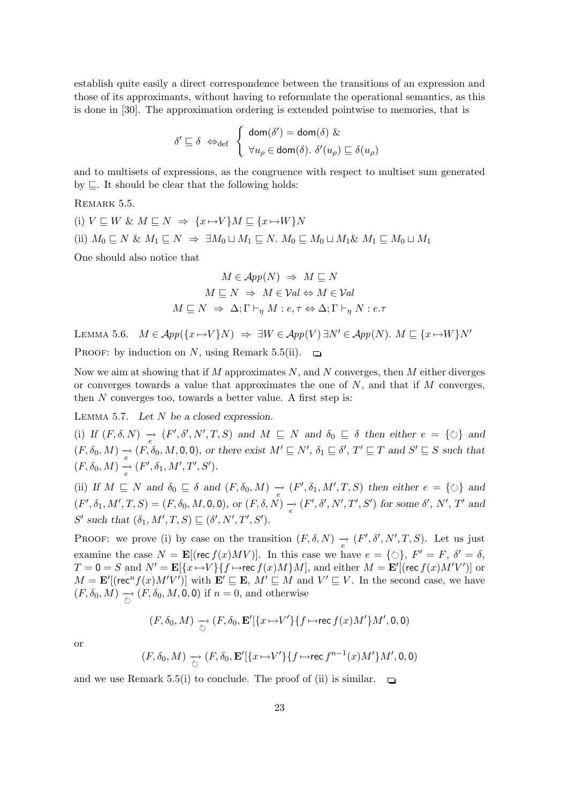establish quite easily a direct correspondence between the transitions of an expression and those of its approximants, without having to reformulate the operational semantics, as this is done in [30]. The approximation ordering is extended pointwise to memories, that is

$$
\delta' \sqsubseteq \delta \iff \left\{ \begin{array}{l} \text{dom}(\delta') = \text{dom}(\delta) \ \& \\ \forall u_{\rho} \in \text{dom}(\delta). \ \delta'(u_{\rho}) \sqsubseteq \delta(u_{\rho}) \end{array} \right.
$$

and to multisets of expressions, as the congruence with respect to multiset sum generated by  $\Box$ . It should be clear that the following holds:

REMARK 5.5.

(i)  $V \sqsubset W \& M \sqsubset N \Rightarrow \{x \mapsto V\}M \sqsubset \{x \mapsto W\}N$ (ii)  $M_0 \sqsubseteq N \& M_1 \sqsubseteq N \Rightarrow \exists M_0 \sqcup M_1 \sqsubseteq N$ .  $M_0 \sqsubseteq M_0 \sqcup M_1 \& M_1 \sqsubseteq M_0 \sqcup M_1$ 

One should also notice that

$$
M \in App(N) \Rightarrow M \sqsubseteq N
$$
  

$$
M \sqsubseteq N \Rightarrow M \in Val \Leftrightarrow M \in Val
$$
  

$$
M \sqsubseteq N \Rightarrow \Delta; \Gamma \vdash_{\eta} M : e, \tau \Leftrightarrow \Delta; \Gamma \vdash_{\eta} N : e.\tau
$$

LEMMA 5.6.  $M \in \mathcal{A}pp(\lbrace x \mapsto V \rbrace N) \Rightarrow \exists W \in \mathcal{A}pp(V) \exists N' \in \mathcal{A}pp(N)$ .  $M \sqsubseteq \lbrace x \mapsto W \rbrace N'$ **PROOF:** by induction on N, using Remark 5.5(ii).  $\Box$ 

Now we aim at showing that if M approximates  $N$ , and N converges, then M either diverges or converges towards a value that approximates the one of  $N$ , and that if  $M$  converges, then  $N$  converges too, towards a better value. A first step is:

LEMMA 5.7. Let  $N$  be a closed expression.

(i) If  $(F, \delta, N) \rightarrow (F', \delta', N', T, S)$  and  $M \subseteq N$  and  $\delta_0 \subseteq \delta$  then either  $e = {\emptyset}$  and  $(F, \delta_0, M) \rightarrow (F, \delta_0, M, 0, 0)$ , or there exist  $M' \sqsubseteq N'$ ,  $\delta_1 \sqsubseteq \delta'$ ,  $T' \sqsubseteq T$  and  $S' \sqsubseteq S$  such that  $(F, \delta_0, M) \xrightarrow{P} (F', \delta_1, M', T', S').$ 

(ii) If  $M \subseteq N$  and  $\delta_0 \subseteq \delta$  and  $(F, \delta_0, M) \rightarrow (F', \delta_1, M', T, S)$  then either  $e = {\emptyset}$  and  $(F', \delta_1, M', T, S) = (F, \delta_0, M, 0, 0), \text{ or } (F, \delta, N) \underset{e}{\rightarrow} (F', \delta', N', T', S') \text{ for some } \delta', N', T' \text{ and }$ S' such that  $(\delta_1, M', T, S) \sqsubseteq (\delta', N', T', S')$ .

PROOF: we prove (i) by case on the transition  $(F, \delta, N) \rightarrow (F', \delta', N', T, S)$ . Let us just examine the case  $N = \mathbf{E}[(\text{rec } f(x)MV)]$ . In this case we have  $e = \{\circlearrowright\}, F' = F, \delta' = \delta$ ,  $T = 0 = S$  and  $N' = \mathbf{E}[\{x \mapsto V\} \{f \mapsto \text{rec } f(x)M\} M]$ , and either  $M = \mathbf{E}'[(\text{rec } f(x)M'V')]$  or  $M = \mathbf{E}'[(\mathbf{rec}^n f(x)M'V')]$  with  $\mathbf{E}' \sqsubseteq \mathbf{E}, M' \sqsubseteq M$  and  $V' \sqsubseteq V$ . In the second case, we have  $(F, \delta_0, M) \longrightarrow (F, \delta_0, M, 0, 0)$  if  $n = 0$ , and otherwise

$$
(F, \delta_0, M) \underset{\circlearrowright}{\rightarrow} (F, \delta_0, \mathbf{E}'[\{x \mapsto V'\}\{f \mapsto \text{rec } f(x)M'\}M', 0, 0)
$$

or

$$
(F,\delta_0,M)\underset{\circlearrowright}{\longrightarrow}(F,\delta_0,\mathbf{E}'[\{x\mapsto V'\}\{f\mapsto \operatorname{rec} f^{n-1}(x)M'\}M',0,0)
$$

and we use Remark 5.5(i) to conclude. The proof of (ii) is similar.  $\Box$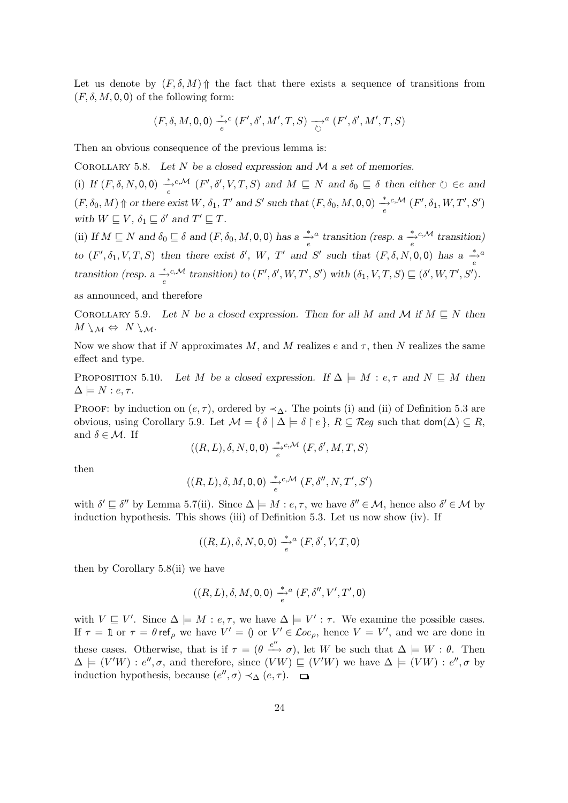Let us denote by  $(F, \delta, M)$  the fact that there exists a sequence of transitions from  $(F, \delta, M, 0, 0)$  of the following form:

$$
(F, \delta, M, 0, 0) \stackrel{*}{\rightarrow}^c (F', \delta', M', T, S) \stackrel{\rightarrow}{\bigcirc}^a (F', \delta', M', T, S)
$$

Then an obvious consequence of the previous lemma is:

COROLLARY 5.8. Let  $N$  be a closed expression and  $M$  a set of memories.

(i) If  $(F, \delta, N, 0, 0) \xrightarrow[e]{*} c, M \ (F', \delta', V, T, S)$  and  $M \subseteq N$  and  $\delta_0 \subseteq \delta$  then either  $\circlearrowright \in e$  and  $(F, \delta_0, M) \Uparrow$  or there exist W,  $\delta_1$ , T' and S' such that  $(F, \delta_0, M, 0, 0) \stackrel{*}{\underset{e}{\rightleftharpoons}} c, M \left(F', \delta_1, W, T', S'\right)$ with  $W \sqsubseteq V$ ,  $\delta_1 \sqsubseteq \delta'$  and  $T' \sqsubseteq T$ .

(ii) If  $M \sqsubseteq N$  and  $\delta_0 \sqsubseteq \delta$  and  $(F, \delta_0, M, 0, 0)$  has a  $\frac{*}{e}$  transition (resp. a  $\frac{*}{e}$ <sup>o</sup>, $\mathcal{M}$  transition) to  $(F', \delta_1, V, T, S)$  then there exist  $\delta', W, T'$  and S' such that  $(F, \delta, N, 0, 0)$  has a  $\frac{*_\epsilon}{e}$ transition (resp. a  $\frac{*}{e}^{c,\mathcal{M}}$  transition) to  $(F', \delta', W, T', S')$  with  $(\delta_1, V, T, S) \sqsubseteq (\delta', W, T', S')$ .

as announced, and therefore

COROLLARY 5.9. Let N be a closed expression. Then for all M and M if  $M \subseteq N$  then  $M \downarrow_{\mathcal{M}} \Leftrightarrow N \downarrow_{\mathcal{M}}$ .

Now we show that if N approximates M, and M realizes e and  $\tau$ , then N realizes the same effect and type.

PROPOSITION 5.10. Let M be a closed expression. If  $\Delta \models M : e, \tau$  and  $N \sqsubseteq M$  then  $\Delta \models N : e, \tau.$ 

PROOF: by induction on  $(e, \tau)$ , ordered by  $\prec_{\Delta}$ . The points (i) and (ii) of Definition 5.3 are obvious, using Corollary 5.9. Let  $\mathcal{M} = \{ \delta \mid \Delta \models \delta \restriction e \}, R \subseteq \mathcal{R}$ eg such that  $\text{dom}(\Delta) \subseteq R$ , and  $\delta \in \mathcal{M}$ . If

$$
((R,L),\delta,N,0,0)\overset{\ast}{\underset{e}{\text{--}}}{}^{c,\mathcal{M}}(F,\delta',M,T,S)
$$

then

$$
((R,L),\delta,M,0,0)\overset{*,c,\mathcal{M}}{\underset{e}{\leftarrow}} (F,\delta'',N,T',S')
$$

with  $\delta' \subseteq \delta''$  by Lemma 5.7(ii). Since  $\Delta \models M : e, \tau$ , we have  $\delta'' \in \mathcal{M}$ , hence also  $\delta' \in \mathcal{M}$  by induction hypothesis. This shows (iii) of Definition 5.3. Let us now show (iv). If

$$
((R,L),\delta,N,\mathbf{0},\mathbf{0})\overset{*}{\underset{e}{\longrightarrow}}{}^a(F,\delta',V,T,\mathbf{0})
$$

then by Corollary 5.8(ii) we have

$$
((R,L),\delta,M,\mathbf{0},\mathbf{0})\overset{*}{\underset{e}{\rightarrow}}{^{a}}(F,\delta'',V',T',\mathbf{0})
$$

with  $V \sqsubseteq V'$ . Since  $\Delta \models M : e, \tau$ , we have  $\Delta \models V' : \tau$ . We examine the possible cases. If  $\tau = 1$  or  $\tau = \theta$  ref<sub>p</sub> we have  $V' = \theta$  or  $V' \in \mathcal{L}oc_p$ , hence  $V = V'$ , and we are done in these cases. Otherwise, that is if  $\tau = (\theta \stackrel{e''}{\longrightarrow} \sigma)$ , let W be such that  $\Delta \models W : \theta$ . Then  $\Delta \models (V'W) : e'', \sigma$ , and therefore, since  $(VW) \sqsubseteq (V'W)$  we have  $\Delta \models (VW) : e'', \sigma$  by induction hypothesis, because  $(e'', \sigma) \prec_{\Delta} (e, \tau)$ .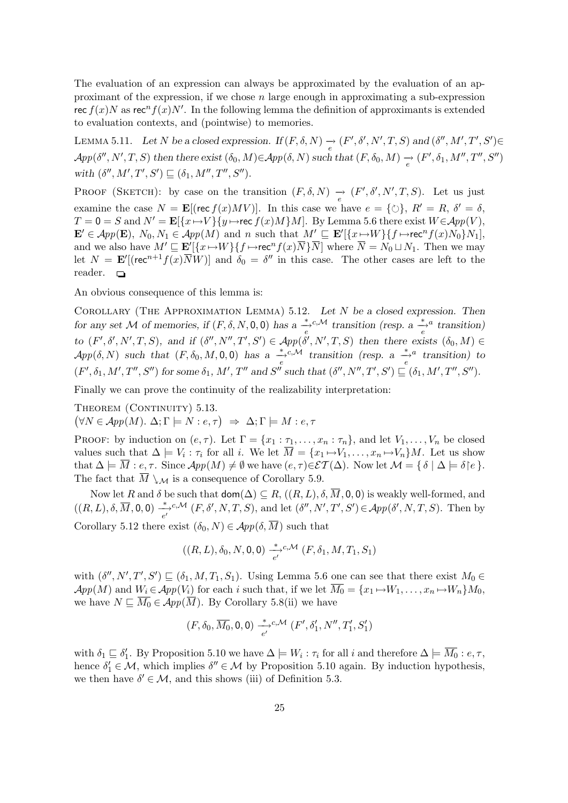The evaluation of an expression can always be approximated by the evaluation of an approximant of the expression, if we chose  $n$  large enough in approximating a sub-expression rec  $f(x)N$  as rec<sup>n</sup> $f(x)N'$ . In the following lemma the definition of approximants is extended to evaluation contexts, and (pointwise) to memories.

LEMMA 5.11. Let N be a closed expression. If  $(F, \delta, N) \to (F', \delta', N', T, S)$  and  $(\delta'', M', T', S') \in$  $App(\delta'', N', T, S)$  then there exist  $(\delta_0, M) \in App(\delta, N)$  such that  $(F, \delta_0, M) \underset{e}{\rightarrow} (F', \delta_1, M'', T'', S'')$ with  $(\delta'', M', T', S') \sqsubseteq (\delta_1, M'', T'', S'').$ 

PROOF (SKETCH): by case on the transition  $(F, \delta, N) \rightarrow (F', \delta', N', T, S)$ . Let us just examine the case  $N = \mathbf{E}[(\text{rec } f(x)MV)]$ . In this case we have  $e = \{\circlearrowright\}, R' = R, \delta' = \delta$ ,  $T = 0 = S$  and  $N' = \mathbf{E}[\{x \mapsto V\} \{y \mapsto \text{rec } f(x)M\} M]$ . By Lemma 5.6 there exist  $W \in \mathcal{A}pp(V)$ ,  $\mathbf{E}' \in \mathcal{A}pp(\mathbf{E}), N_0, N_1 \in \mathcal{A}pp(M)$  and n such that  $M' \sqsubseteq \mathbf{E}'[\{x \mapsto W\}\{f \mapsto \mathsf{rec}^nf(x)N_0\}N_1],$ and we also have  $M' \sqsubseteq \mathbf{E}'[\{x \mapsto W\} \{f \mapsto \mathsf{rec}^n f(x)\overline{N}\}\overline{N}]$  where  $\overline{N} = N_0 \sqcup N_1$ . Then we may let  $N = \mathbf{E}'[(\mathbf{rec}^{n+1}f(x)\overline{N}W)]$  and  $\delta_0 = \delta''$  in this case. The other cases are left to the reader.  $\Box$ 

An obvious consequence of this lemma is:

COROLLARY (THE APPROXIMATION LEMMA)  $5.12$ . Let N be a closed expression. Then for any set M of memories, if  $(F, \delta, N, 0, 0)$  has a  $\frac{*}{e}e^{\kappa M}$  transition (resp. a  $\frac{*}{e}e^{4}$  transition) to  $(F', \delta', N', T, S)$ , and if  $(\delta'', N'', T', S') \in \mathcal{A}pp(\delta', N', T, S)$  then there exists  $(\delta_0, M) \in$  $App(\delta, N)$  such that  $(F, \delta_0, M, 0, 0)$  has a  $\frac{*_\epsilon}{e}^{c, \mathcal{M}}$  transition (resp. a  $\frac{*_\epsilon}{e}^{a}$  transition) to  $(F', \delta_1, M', T'', S'')$  for some  $\delta_1, M', T''$  and  $S''$  such that  $(\delta'', N'', T', S') \sqsubseteq (\delta_1, M', T'', S'')$ .

Finally we can prove the continuity of the realizability interpretation:

THEOREM (CONTINUITY) 5.13.  $(\forall N \in App(M). \Delta; \Gamma \models N : e, \tau) \Rightarrow \Delta; \Gamma \models M : e, \tau$ 

PROOF: by induction on  $(e, \tau)$ . Let  $\Gamma = \{x_1 : \tau_1, \ldots, x_n : \tau_n\}$ , and let  $V_1, \ldots, V_n$  be closed values such that  $\Delta \models V_i : \tau_i$  for all i. We let  $M = \{x_1 \mapsto V_1, \ldots, x_n \mapsto V_n\}M$ . Let us show that  $\Delta \models \overline{M} : e, \tau$ . Since  $\mathcal{A}pp(M) \neq \emptyset$  we have  $(e, \tau) \in \mathcal{ET}(\Delta)$ . Now let  $\mathcal{M} = \{ \delta \mid \Delta \models \delta \mid e \}.$ The fact that  $\overline{M} \setminus \mathcal{M}$  is a consequence of Corollary 5.9.

Now let R and  $\delta$  be such that  $\textsf{dom}(\Delta) \subseteq R$ ,  $((R, L), \delta, \overline{M}, 0, 0)$  is weakly well-formed, and  $((R, L), \delta, \overline{M}, 0, 0) \xrightarrow[e^{\epsilon}]{*} c, M \ (F, \delta', N, T, S),$  and let  $(\delta'', N', T', S') \in \mathcal{A}pp(\delta', N, T, S)$ . Then by Corollary 5.12 there exist  $(\delta_0, N) \in \mathcal{A}pp(\delta, \overline{M})$  such that

$$
((R,L),\delta_0,N,\mathbf{0},\mathbf{0})\xrightarrow[e']{\iota}^{c,\mathcal{M}}(F,\delta_1,M,T_1,S_1)
$$

with  $(\delta'', N', T', S') \sqsubseteq (\delta_1, M, T_1, S_1)$ . Using Lemma 5.6 one can see that there exist  $M_0 \in$  $\mathcal{A}pp(M)$  and  $W_i \in \mathcal{A}pp(V_i)$  for each i such that, if we let  $\overline{M_0} = \{x_1 \mapsto W_1, \dots, x_n \mapsto W_n\}M_0$ , we have  $N \subseteq \overline{M_0} \in \mathcal{A}pp(\overline{M})$ . By Corollary 5.8(ii) we have

$$
(F,\delta_0,\overline{M_0},\textbf{0},\textbf{0})\xrightarrow[e']{\iota}^{c,\mathcal{M}}(F',\delta_1',N'',T_1',S_1')
$$

with  $\delta_1 \sqsubseteq \delta_1'$ . By Proposition 5.10 we have  $\Delta \models W_i : \tau_i$  for all i and therefore  $\Delta \models \overline{M_0} : e, \tau$ , hence  $\delta'_1 \in \mathcal{M}$ , which implies  $\delta'' \in \mathcal{M}$  by Proposition 5.10 again. By induction hypothesis, we then have  $\delta' \in \mathcal{M}$ , and this shows (iii) of Definition 5.3.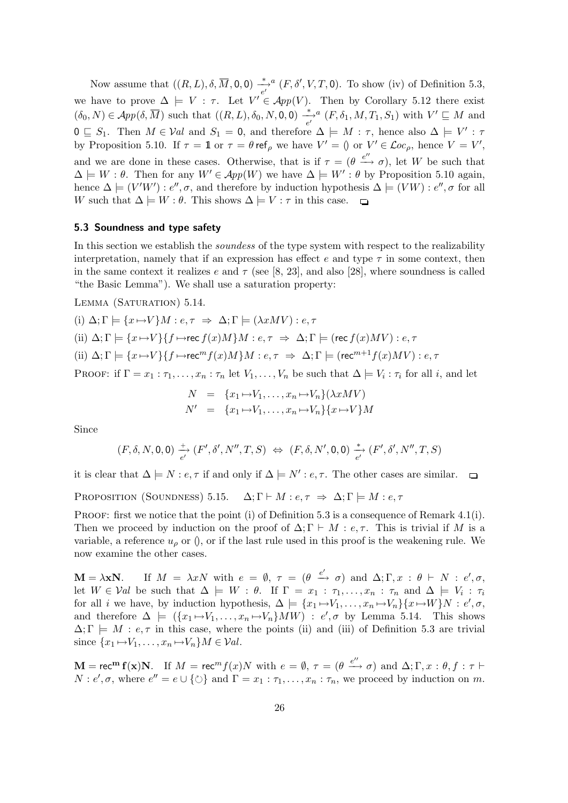Now assume that  $((R, L), \delta, \overline{M}, 0, 0) \xrightarrow[t]{*}$ <sup>a</sup>  $(F, \delta', V, T, 0)$ . To show (iv) of Definition 5.3, we have to prove  $\Delta \models V : \tau$ . Let  $V' \in App(V)$ . Then by Corollary 5.12 there exist  $(\delta_0, N) \in \mathcal{A}pp(\delta, \overline{M})$  such that  $((R, L), \delta_0, N, 0, 0) \xrightarrow[c']$ <sup>*a*</sup>  $(F, \delta_1, M, T_1, S_1)$  with  $V' \sqsubseteq M$  and  $0 \subseteq S_1$ . Then  $M \in \mathcal{V}al$  and  $S_1 = 0$ , and therefore  $\Delta \models M : \tau$ , hence also  $\Delta \models V' : \tau$ by Proposition 5.10. If  $\tau = 1$  or  $\tau = \theta$  ref<sub>p</sub> we have  $V' = \theta$  or  $V' \in \mathcal{L}oc_p$ , hence  $V = V'$ , and we are done in these cases. Otherwise, that is if  $\tau = (\theta \stackrel{e''}{\longrightarrow} \sigma)$ , let W be such that  $\Delta \models W : \theta$ . Then for any  $W' \in App(W)$  we have  $\Delta \models W' : \theta$  by Proposition 5.10 again, hence  $\Delta \models (V'W') : e'', \sigma$ , and therefore by induction hypothesis  $\Delta \models (VW) : e'', \sigma$  for all W such that  $\Delta \models W : \theta$ . This shows  $\Delta \models V : \tau$  in this case.  $\Box$ 

## 5.3 Soundness and type safety

In this section we establish the *soundess* of the type system with respect to the realizability interpretation, namely that if an expression has effect e and type  $\tau$  in some context, then in the same context it realizes e and  $\tau$  (see [8, 23], and also [28], where soundness is called "the Basic Lemma"). We shall use a saturation property:

LEMMA (SATURATION) 5.14.

(i) 
$$
\Delta; \Gamma \models \{x \mapsto V\}M : e, \tau \Rightarrow \Delta; \Gamma \models (\lambda xMV) : e, \tau
$$
  
\n(ii)  $\Delta; \Gamma \models \{x \mapsto V\}\{f \mapsto \text{rec } f(x)M\}M : e, \tau \Rightarrow \Delta; \Gamma \models (\text{rec } f(x)MV) : e, \tau$   
\n(ii)  $\Delta; \Gamma \models \{x \mapsto V\}\{f \mapsto \text{rec}^m f(x)M\}M : e, \tau \Rightarrow \Delta; \Gamma \models (\text{rec}^{m+1} f(x)MV) : e, \tau$   
\nPROOF: if  $\Gamma = x_1 : \tau_1, \ldots, x_n : \tau_n \text{ let } V_1, \ldots, V_n \text{ be such that } \Delta \models V_i : \tau_i \text{ for all } i.$ 

PROOF: if  $\Gamma = x_1 : \tau_1, \ldots, x_n : \tau_n$  let  $V_1, \ldots, V_n$  be such that  $\Delta \models V_i : \tau_i$  for all i, and let

$$
N = \{x_1 \mapsto V_1, \dots, x_n \mapsto V_n\}(\lambda x M V)
$$
  

$$
N' = \{x_1 \mapsto V_1, \dots, x_n \mapsto V_n\} \{x \mapsto V\} M
$$

Since

$$
(F, \delta, N, 0, 0) \xrightarrow{+}_{e'} (F', \delta', N'', T, S) \Leftrightarrow (F, \delta, N', 0, 0) \xrightarrow{*}_{e'} (F', \delta', N'', T, S)
$$

it is clear that  $\Delta \models N : e, \tau$  if and only if  $\Delta \models N' : e, \tau$ . The other cases are similar.

PROPOSITION (SOUNDNESS) 5.15.  $\Delta: \Gamma \vdash M : e, \tau \Rightarrow \Delta: \Gamma \models M : e, \tau$ 

PROOF: first we notice that the point (i) of Definition 5.3 is a consequence of Remark 4.1(i). Then we proceed by induction on the proof of  $\Delta; \Gamma \vdash M : e, \tau$ . This is trivial if M is a variable, a reference  $u_{\rho}$  or  $($ , or if the last rule used in this proof is the weakening rule. We now examine the other cases.

**M** =  $\lambda$ **xN**. If  $M = \lambda xN$  with  $e = \emptyset$ ,  $\tau = (\theta \stackrel{e'}{\rightarrow} \sigma)$  and  $\Delta; \Gamma, x : \theta \vdash N : e', \sigma$ , let  $W \in \mathcal{V}al$  be such that  $\Delta \models W : \theta$ . If  $\Gamma = x_1 : \tau_1, \ldots, x_n : \tau_n$  and  $\Delta \models V_i : \tau_i$ for all *i* we have, by induction hypothesis,  $\Delta \models {\{x_1 \mapsto V_1, \ldots, x_n \mapsto V_n\}} {\{x \mapsto W\}} N : e', \sigma$ , and therefore  $\Delta \models (\{x_1 \mapsto V_1, \ldots, x_n \mapsto V_n\}MW) : e', \sigma$  by Lemma 5.14. This shows  $\Delta;\Gamma \models M : e, \tau$  in this case, where the points (ii) and (iii) of Definition 5.3 are trivial since  $\{x_1 \mapsto V_1, \ldots, x_n \mapsto V_n\}M \in \mathcal{V}al.$ 

 $\mathbf{M} = \text{rec}^{\mathbf{m}} \mathbf{f}(\mathbf{x}) \mathbf{N}$ . If  $M = \text{rec}^{\mathbf{m}} f(x) N$  with  $e = \emptyset$ ,  $\tau = (\theta \stackrel{e''}{\longrightarrow} \sigma)$  and  $\Delta; \Gamma, x : \theta, f : \tau \vdash$  $N: e', \sigma$ , where  $e'' = e \cup \{\circlearrowright\}$  and  $\Gamma = x_1 : \tau_1, \ldots, x_n : \tau_n$ , we proceed by induction on m.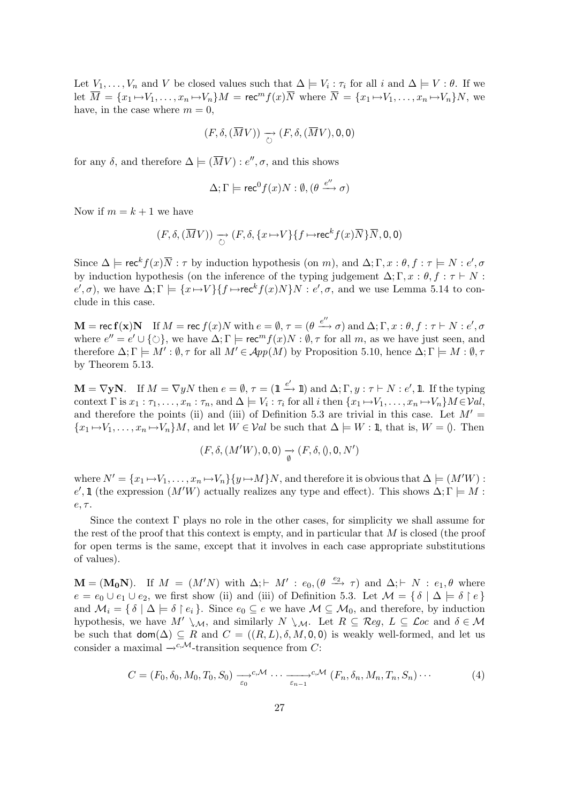Let  $V_1, \ldots, V_n$  and V be closed values such that  $\Delta \models V_i : \tau_i$  for all i and  $\Delta \models V : \theta$ . If we let  $\overline{M} = \{x_1 \mapsto V_1, \ldots, x_n \mapsto V_n\}M = \text{rec}^m f(x)\overline{N}$  where  $\overline{N} = \{x_1 \mapsto V_1, \ldots, x_n \mapsto V_n\}N$ , we have, in the case where  $m = 0$ ,

$$
(F, \delta, (\overline{M}V)) \xrightarrow[\delta]} (F, \delta, (\overline{M}V), 0, 0)
$$

for any  $\delta$ , and therefore  $\Delta \models (\overline{M}V) : e'', \sigma$ , and this shows

$$
\Delta;\Gamma\models \mathrm{rec}^0 f(x)N:\emptyset, (\theta\stackrel{e''}{\longrightarrow}\sigma)
$$

Now if  $m = k + 1$  we have

$$
(F, \delta, (\overline{M}V)) \xrightarrow[\circlearrowright]{} (F, \delta, \{x \mapsto V\} \{f \mapsto \mathsf{rec}^k f(x) \overline{N}\} \overline{N}, 0, 0)
$$

Since  $\Delta \models \mathsf{rec}^k f(x) \overline{N} : \tau$  by induction hypothesis (on m), and  $\Delta; \Gamma, x : \theta, f : \tau \models N : e', \sigma$ by induction hypothesis (on the inference of the typing judgement  $\Delta; \Gamma, x : \theta, f : \tau \vdash N$ :  $(e', \sigma)$ , we have  $\Delta; \Gamma \models \{x \mapsto V\} \{f \mapsto \text{rec}^k f(x)N\}N : e', \sigma$ , and we use Lemma 5.14 to conclude in this case.

 $\mathbf{M} = \mathsf{rec}\,\mathbf{f}(\mathbf{x})\mathbf{N}$  If  $M = \mathsf{rec}\,f(x)N$  with  $e = \emptyset$ ,  $\tau = (\theta \xrightarrow{e''} \sigma)$  and  $\Delta; \Gamma, x : \theta, f : \tau \vdash N : e', \sigma$ where  $e'' = e' \cup \{\circ\},\$ we have  $\Delta;\Gamma \models \mathsf{rec}^m f(x)N:\emptyset,\tau$  for all m, as we have just seen, and therefore  $\Delta; \Gamma \models M': \emptyset, \tau$  for all  $M' \in App(M)$  by Proposition 5.10, hence  $\Delta; \Gamma \models M: \emptyset, \tau$ by Theorem 5.13.

 $\mathbf{M} = \nabla \mathbf{y} \mathbf{N}$ . If  $M = \nabla yN$  then  $e = \emptyset$ ,  $\tau = (\mathbb{1} \stackrel{e'}{\rightarrow} \mathbb{1})$  and  $\Delta; \Gamma, y : \tau \vdash N : e', \mathbb{1}$ . If the typing context  $\Gamma$  is  $x_1 : \tau_1, \ldots, x_n : \tau_n$ , and  $\Delta \models V_i : \tau_i$  for all i then  $\{x_1 \mapsto V_1, \ldots, x_n \mapsto V_n\} M \in \mathcal{V}al$ , and therefore the points (ii) and (iii) of Definition 5.3 are trivial in this case. Let  $M' =$  ${x_1 \mapsto V_1, \ldots, x_n \mapsto V_n}M$ , and let  $W \in \mathcal{V}al$  be such that  $\Delta \models W : \mathbb{I}$ , that is,  $W = \emptyset$ . Then

$$
(F,\delta,(M'W),\mathbf{0},\mathbf{0})\underset{\emptyset}{\rightarrow}(F,\delta,\mathbf{0},\mathbf{0},N')
$$

where  $N' = \{x_1 \mapsto V_1, \ldots, x_n \mapsto V_n\}$   $\{y \mapsto M\}N$ , and therefore it is obvious that  $\Delta \models (M'W)$ : e', 1 (the expression  $(M'W)$  actually realizes any type and effect). This shows  $\Delta; \Gamma \models M$ :  $e, \tau.$ 

Since the context  $\Gamma$  plays no role in the other cases, for simplicity we shall assume for the rest of the proof that this context is empty, and in particular that  $M$  is closed (the proof for open terms is the same, except that it involves in each case appropriate substitutions of values).

 $\mathbf{M} = (\mathbf{M_0N})$ . If  $M = (M'N)$  with  $\Delta; \vdash M' : e_0, (\theta \stackrel{e_2}{\longrightarrow} \tau)$  and  $\Delta; \vdash N : e_1, \theta$  where  $e = e_0 \cup e_1 \cup e_2$ , we first show (ii) and (iii) of Definition 5.3. Let  $\mathcal{M} = \{ \delta \mid \Delta \models \delta \restriction e \}$ and  $\mathcal{M}_i = \{ \delta \mid \Delta \models \delta \restriction e_i \}.$  Since  $e_0 \subseteq e$  we have  $\mathcal{M} \subseteq \mathcal{M}_0$ , and therefore, by induction hypothesis, we have  $M' \setminus \mathcal{M}$ , and similarly  $N \setminus \mathcal{M}$ . Let  $R \subseteq \mathcal{R}$ eg,  $L \subseteq \mathcal{L}$ oc and  $\delta \in \mathcal{M}$ be such that  $\text{dom}(\Delta) \subseteq R$  and  $C = ((R, L), \delta, M, 0, 0)$  is weakly well-formed, and let us consider a maximal  $\rightarrow^{c,\mathcal{M}}$ -transition sequence from C:

$$
C = (F_0, \delta_0, M_0, T_0, S_0) \xrightarrow[\varepsilon_0]{\varepsilon_0} C^{\mathcal{M}} \cdots \xrightarrow[\varepsilon_{n-1}]} C^{\mathcal{M}}(F_n, \delta_n, M_n, T_n, S_n) \cdots
$$
 (4)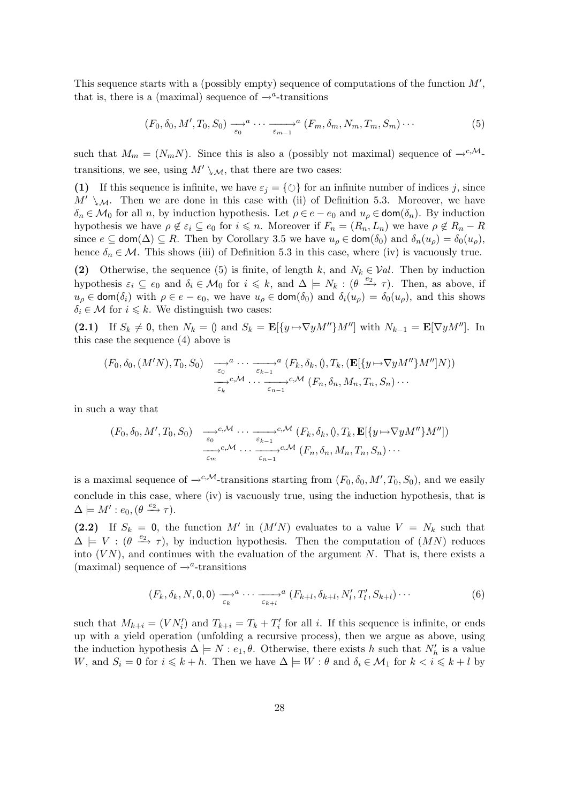This sequence starts with a (possibly empty) sequence of computations of the function  $M'$ , that is, there is a (maximal) sequence of  $\rightarrow^a$ -transitions

$$
(F_0, \delta_0, M', T_0, S_0) \xrightarrow[\varepsilon_0]{\varepsilon_0} \cdots \xrightarrow[\varepsilon_{m-1}]{}^a (F_m, \delta_m, N_m, T_m, S_m) \cdots
$$
 (5)

such that  $M_m = (N_m N)$ . Since this is also a (possibly not maximal) sequence of  $\rightarrow^{c, \mathcal{M}}$ transitions, we see, using  $M' \setminus M$ , that there are two cases:

(1) If this sequence is infinite, we have  $\varepsilon_j = \{\circlearrowright\}$  for an infinite number of indices j, since  $M' \setminus M$ . Then we are done in this case with (ii) of Definition 5.3. Moreover, we have  $\delta_n \in \mathcal{M}_0$  for all n, by induction hypothesis. Let  $\rho \in e - e_0$  and  $u_\rho \in \text{dom}(\delta_n)$ . By induction hypothesis we have  $\rho \notin \varepsilon_i \subseteq e_0$  for  $i \leq n$ . Moreover if  $F_n = (R_n, L_n)$  we have  $\rho \notin R_n - R$ since  $e \subseteq \text{dom}(\Delta) \subseteq R$ . Then by Corollary 3.5 we have  $u_{\rho} \in \text{dom}(\delta_0)$  and  $\delta_n(u_{\rho}) = \delta_0(u_{\rho})$ , hence  $\delta_n \in \mathcal{M}$ . This shows (iii) of Definition 5.3 in this case, where (iv) is vacuously true.

(2) Otherwise, the sequence (5) is finite, of length k, and  $N_k \in Val$ . Then by induction hypothesis  $\varepsilon_i \subseteq e_0$  and  $\delta_i \in \mathcal{M}_0$  for  $i \leq k$ , and  $\Delta \models N_k : (\theta \stackrel{e_2}{\longrightarrow} \tau)$ . Then, as above, if  $u_{\rho} \in \text{dom}(\delta_i)$  with  $\rho \in e - e_0$ , we have  $u_{\rho} \in \text{dom}(\delta_0)$  and  $\delta_i(u_{\rho}) = \delta_0(u_{\rho})$ , and this shows  $\delta_i \in \mathcal{M}$  for  $i \leq k$ . We distinguish two cases:

(2.1) If  $S_k \neq 0$ , then  $N_k = 0$  and  $S_k = \mathbf{E}[\{y \mapsto \nabla y M''\} M'']$  with  $N_{k-1} = \mathbf{E}[\nabla y M'']$ . In this case the sequence (4) above is

$$
(F_0, \delta_0, (M'N), T_0, S_0) \longrightarrow^a \cdots \longrightarrow^a (F_k, \delta_k, 0, T_k, (\mathbf{E}[\{y \mapsto \nabla y M''\} M''] N))
$$

$$
\longrightarrow^{c, \mathcal{M}} \cdots \longrightarrow^{c, \mathcal{M}} (F_n, \delta_n, M_n, T_n, S_n) \cdots
$$

in such a way that

$$
(F_0, \delta_0, M', T_0, S_0) \longrightarrow_{\epsilon_0}^{c, \mathcal{M}} \cdots \longrightarrow_{\epsilon_{k-1}}^{c, \mathcal{M}} (F_k, \delta_k, 0, T_k, \mathbf{E}[\{y \mapsto \nabla y M''\} M''])
$$

$$
\longrightarrow_{\epsilon_m}^{c, \mathcal{M}} \cdots \longrightarrow_{\epsilon_{n-1}}^{c, \mathcal{M}} (F_n, \delta_n, M_n, T_n, S_n) \cdots
$$

is a maximal sequence of  $\rightarrow^{c,M}$ -transitions starting from  $(F_0, \delta_0, M', T_0, S_0)$ , and we easily conclude in this case, where (iv) is vacuously true, using the induction hypothesis, that is  $\Delta \models M': e_0, (\theta \xrightarrow{e_2} \tau).$ 

(2.2) If  $S_k = 0$ , the function M' in  $(M'N)$  evaluates to a value  $V = N_k$  such that  $\Delta \models V : (\theta \stackrel{e_2}{\longrightarrow} \tau)$ , by induction hypothesis. Then the computation of  $(MN)$  reduces into  $(VN)$ , and continues with the evaluation of the argument N. That is, there exists a (maximal) sequence of  $\rightarrow^a$ -transitions

$$
(F_k, \delta_k, N, 0, 0) \xrightarrow[\varepsilon_k]{\varepsilon_k} \cdots \xrightarrow[\varepsilon_{k+l}]} (F_{k+l}, \delta_{k+l}, N'_l, T'_l, S_{k+l}) \cdots
$$
 (6)

such that  $M_{k+i} = (VN'_i)$  and  $T_{k+i} = T_k + T'_i$  for all *i*. If this sequence is infinite, or ends up with a yield operation (unfolding a recursive process), then we argue as above, using the induction hypothesis  $\Delta \models N : e_1, \theta$ . Otherwise, there exists h such that  $N'_h$  is a value W, and  $S_i = 0$  for  $i \leq k + h$ . Then we have  $\Delta \models W : \theta$  and  $\delta_i \in \mathcal{M}_1$  for  $k < i \leq k + l$  by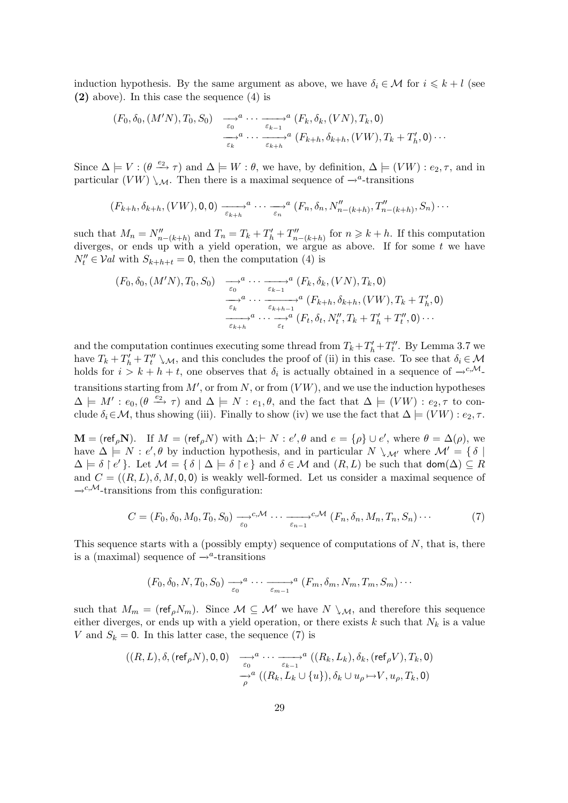induction hypothesis. By the same argument as above, we have  $\delta_i \in \mathcal{M}$  for  $i \leq k + l$  (see (2) above). In this case the sequence (4) is

$$
(F_0, \delta_0, (M'N), T_0, S_0) \longrightarrow_{\epsilon_0}^{\epsilon_0} \cdots \longrightarrow_{\epsilon_{k-1}}^{\epsilon_k} (F_k, \delta_k, (VN), T_k, 0)
$$
  

$$
\longrightarrow_{\epsilon_k}^{\epsilon_0} \cdots \longrightarrow_{\epsilon_{k+h}}^{\epsilon_k} (F_{k+h}, \delta_{k+h}, (VW), T_k + T'_h, 0) \cdots
$$

Since  $\Delta \models V : (\theta \stackrel{e_2}{\longrightarrow} \tau)$  and  $\Delta \models W : \theta$ , we have, by definition,  $\Delta \models (VW) : e_2, \tau$ , and in particular  $(VW) \setminus M$ . Then there is a maximal sequence of  $\rightarrow^a$ -transitions

$$
(F_{k+h}, \delta_{k+h}, (VW), 0, 0) \xrightarrow[\varepsilon_{k+h}]{} a \cdots \xrightarrow[\varepsilon_n]{} a \ (F_n, \delta_n, N''_{n-(k+h)}, T''_{n-(k+h)}, S_n) \cdots
$$

such that  $M_n = N''_{n-(k+h)}$  and  $T_n = T_k + T'_h + T''_{n-(k+h)}$  for  $n \geq k+h$ . If this computation diverges, or ends up with a yield operation, we argue as above. If for some  $t$  we have  $N''_t \in \mathcal{V}al$  with  $S_{k+h+t} = 0$ , then the computation (4) is

$$
(F_0, \delta_0, (M'N), T_0, S_0) \longrightarrow_{\epsilon_0}^{a} \cdots \longrightarrow_{\epsilon_{k-1}}^{a} (F_k, \delta_k, (VN), T_k, 0)
$$
  

$$
\longrightarrow_{\epsilon_k}^{a} \cdots \longrightarrow_{\epsilon_{k+h-1}}^{a} (F_{k+h}, \delta_{k+h}, (VW), T_k + T'_h, 0)
$$
  

$$
\longrightarrow_{\epsilon_{k+h}}^{a} \cdots \longrightarrow_{\epsilon_t}^{a} (F_t, \delta_t, N''_t, T_k + T'_h + T''_t, 0) \cdots
$$

and the computation continues executing some thread from  $T_k + T'_h + T''_t$ . By Lemma 3.7 we have  $T_k + T'_h + T''_l \searrow_{\mathcal{M}}$ , and this concludes the proof of (ii) in this case. To see that  $\delta_i \in \mathcal{M}$ holds for  $i > k + h + t$ , one observes that  $\delta_i$  is actually obtained in a sequence of  $\rightarrow^{c, \mathcal{M}}$ . transitions starting from  $M'$ , or from  $N$ , or from  $(VW)$ , and we use the induction hypotheses  $\Delta \models M': e_0, (\theta \stackrel{\bar{e}_2}{\longrightarrow} \tau)$  and  $\Delta \models N: e_1, \theta$ , and the fact that  $\Delta \models (VW): e_2, \tau$  to conclude  $\delta_i \in \mathcal{M}$ , thus showing (iii). Finally to show (iv) we use the fact that  $\Delta \models (VW) : e_2, \tau$ .

 $\mathbf{M} = (\mathsf{ref}_\rho \mathbf{N})$ . If  $M = (\mathsf{ref}_\rho N)$  with  $\Delta; \vdash N : e', \theta$  and  $e = \{\rho\} \cup e',$  where  $\theta = \Delta(\rho)$ , we have ∆ |= N : e 0 , θ by induction hypothesis, and in particular <sup>N</sup> %M<sup>0</sup> where <sup>M</sup><sup>0</sup> <sup>=</sup> { <sup>δ</sup> <sup>|</sup>  $\Delta \models \delta \restriction e'$ . Let  $\mathcal{M} = \{ \delta \mid \Delta \models \delta \restriction e \}$  and  $\delta \in \mathcal{M}$  and  $(R, L)$  be such that  $\text{dom}(\Delta) \subseteq R$ and  $C = ((R, L), \delta, M, 0, 0)$  is weakly well-formed. Let us consider a maximal sequence of  $\rightarrow^{c,\mathcal{M}}$ -transitions from this configuration:

$$
C = (F_0, \delta_0, M_0, T_0, S_0) \xrightarrow[\varepsilon_0]{c, \mathcal{M}} \cdots \xrightarrow[\varepsilon_{n-1}]{c, \mathcal{M}} (F_n, \delta_n, M_n, T_n, S_n) \cdots
$$
 (7)

This sequence starts with a (possibly empty) sequence of computations of  $N$ , that is, there is a (maximal) sequence of  $\rightarrow^a$ -transitions

$$
(F_0, \delta_0, N, T_0, S_0) \longrightarrow^a \cdots \longrightarrow^a (F_m, \delta_m, N_m, T_m, S_m) \cdots
$$

such that  $M_m = (ref_pN_m)$ . Since  $\mathcal{M} \subseteq \mathcal{M}'$  we have  $N \setminus \mathcal{M}$ , and therefore this sequence either diverges, or ends up with a yield operation, or there exists k such that  $N_k$  is a value V and  $S_k = 0$ . In this latter case, the sequence (7) is

$$
((R,L),\delta,(\mathsf{ref}_{\rho}N),0,0) \xrightarrow[\varepsilon_0]{\varepsilon_0} \cdots \xrightarrow[\varepsilon_{k-1}]{\varepsilon_{k-1}}^a ((R_k,L_k),\delta_k,(\mathsf{ref}_{\rho}V),T_k,0) \xrightarrow[\rho]{a} ((R_k,L_k\cup\{u\}),\delta_k\cup u_{\rho}\mapsto V,u_{\rho},T_k,0)
$$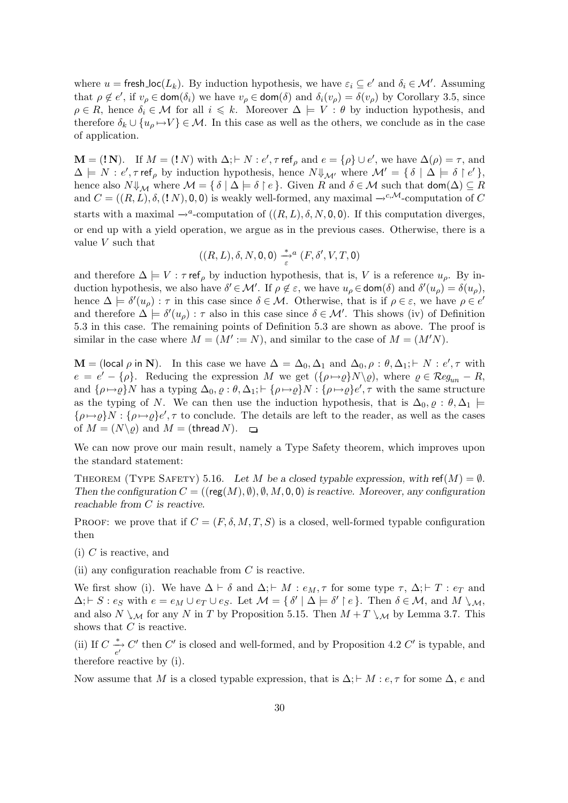where  $u = \mathsf{free} \mathsf{h}_e(\mathcal{L}_k)$ . By induction hypothesis, we have  $\varepsilon_i \subseteq e'$  and  $\delta_i \in \mathcal{M}'$ . Assuming that  $\rho \notin e'$ , if  $v_{\rho} \in \text{dom}(\delta_i)$  we have  $v_{\rho} \in \text{dom}(\delta)$  and  $\delta_i(v_{\rho}) = \delta(v_{\rho})$  by Corollary 3.5, since  $\rho \in R$ , hence  $\delta_i \in \mathcal{M}$  for all  $i \leq k$ . Moreover  $\Delta \models V : \theta$  by induction hypothesis, and therefore  $\delta_k \cup \{u_0 \mapsto V\} \in \mathcal{M}$ . In this case as well as the others, we conclude as in the case of application.

 $\mathbf{M} = (\mathbf{N} \cdot \mathbf{M}) \cdot \mathbf{M} = (\mathbf{N} \cdot \mathbf{M}) \cdot \mathbf{M} \cdot \mathbf{M} \cdot \mathbf{M} \cdot \mathbf{M} \cdot \mathbf{M} \cdot \mathbf{M} \cdot \mathbf{M} \cdot \mathbf{M} \cdot \mathbf{M} \cdot \mathbf{M} \cdot \mathbf{M} \cdot \mathbf{M} \cdot \mathbf{M} \cdot \mathbf{M} \cdot \mathbf{M} \cdot \mathbf{M} \cdot \mathbf{M} \cdot \mathbf{M} \cdot \mathbf{M} \cdot \mathbf{M} \cdot \mathbf{M} \cdot \mathbf{M}$  $\Delta \models N : e', \tau \text{ ref}_{\rho}$  by induction hypothesis, hence  $N \Downarrow_{\mathcal{M}'}$  where  $\mathcal{M}' = \{ \delta \mid \Delta \models \delta \restriction e' \},$ hence also  $N\Downarrow_M$  where  $\mathcal{M} = \{ \delta \mid \Delta \models \delta \restriction e \}$ . Given R and  $\delta \in \mathcal{M}$  such that  $\text{dom}(\Delta) \subseteq R$ and  $C = ((R, L), \delta, (l, N), 0, 0)$  is weakly well-formed, any maximal  $\rightarrow^{c, \mathcal{M}}$ -computation of C starts with a maximal  $\rightarrow^a$ -computation of  $((R, L), \delta, N, 0, 0)$ . If this computation diverges, or end up with a yield operation, we argue as in the previous cases. Otherwise, there is a value V such that

$$
((R,L), \delta, N, \mathbf{0}, \mathbf{0}) \stackrel{*}{\underset{\varepsilon}{\to}}^a (F, \delta', V, T, \mathbf{0})
$$

and therefore  $\Delta \models V : \tau \text{ ref}_{\rho}$  by induction hypothesis, that is, V is a reference  $u_{\rho}$ . By induction hypothesis, we also have  $\delta' \in \mathcal{M}'$ . If  $\rho \notin \varepsilon$ , we have  $u_\rho \in \text{dom}(\delta)$  and  $\delta'(u_\rho) = \delta(u_\rho)$ , hence  $\Delta \models \delta'(u_{\rho}) : \tau$  in this case since  $\delta \in \mathcal{M}$ . Otherwise, that is if  $\rho \in \varepsilon$ , we have  $\rho \in \varepsilon'$ and therefore  $\Delta \models \delta'(u_{\rho}) : \tau$  also in this case since  $\delta \in \mathcal{M}'$ . This shows (iv) of Definition 5.3 in this case. The remaining points of Definition 5.3 are shown as above. The proof is similar in the case where  $M = (M' := N)$ , and similar to the case of  $M = (M'N)$ .

 $\mathbf{M} = (\text{local } \rho \text{ in } \mathbf{N}).$  In this case we have  $\Delta = \Delta_0, \Delta_1$  and  $\Delta_0, \rho : \theta, \Delta_1 \vdash N : e', \tau$  with  $e = e' - \{\rho\}$ . Reducing the expression M we get  $(\{\rho \mapsto \rho\} N \setminus \rho)$ , where  $\rho \in \mathcal{R}eg_{un} - R$ , and  $\{\rho \mapsto \rho\} N$  has a typing  $\Delta_0, \rho : \theta, \Delta_1; \vdash \{\rho \mapsto \rho\} N : \{\rho \mapsto \rho\} e', \tau$  with the same structure as the typing of N. We can then use the induction hypothesis, that is  $\Delta_0, \varrho : \theta, \Delta_1 \models$  $\{\rho \mapsto \rho\}N : \{\rho \mapsto \rho\}e', \tau$  to conclude. The details are left to the reader, as well as the cases of  $M = (N \backslash \varrho)$  and  $M = ($ thread  $N$ ).  $\Box$ 

We can now prove our main result, namely a Type Safety theorem, which improves upon the standard statement:

THEOREM (TYPE SAFETY) 5.16. Let M be a closed typable expression, with ref(M) =  $\emptyset$ . Then the configuration  $C = ((reg(M), \emptyset), \emptyset, M, 0, 0)$  is reactive. Moreover, any configuration reachable from C is reactive.

PROOF: we prove that if  $C = (F, \delta, M, T, S)$  is a closed, well-formed typable configuration then

 $(i)$  C is reactive, and

(ii) any configuration reachable from  $C$  is reactive.

We first show (i). We have  $\Delta \vdash \delta$  and  $\Delta; \vdash M : e_M, \tau$  for some type  $\tau$ ,  $\Delta; \vdash T : e_T$  and  $\Delta; \vdash S : e_S \text{ with } e = e_M \cup e_T \cup e_S.$  Let  $\mathcal{M} = \{\delta' \mid \Delta \models \delta' \mid e\}.$  Then  $\delta \in \mathcal{M}$ , and  $M \setminus \mathcal{M}$ , and also  $N \searrow_{\mathcal{M}}$  for any N in T by Proposition 5.15. Then  $M + T \searrow_{\mathcal{M}}$  by Lemma 3.7. This shows that  $C$  is reactive.

(ii) If  $C \underset{e'}{\longrightarrow} C'$  then  $C'$  is closed and well-formed, and by Proposition 4.2  $C'$  is typable, and therefore reactive by (i).

Now assume that M is a closed typable expression, that is  $\Delta$ ;  $\vdash M$  : e,  $\tau$  for some  $\Delta$ , e and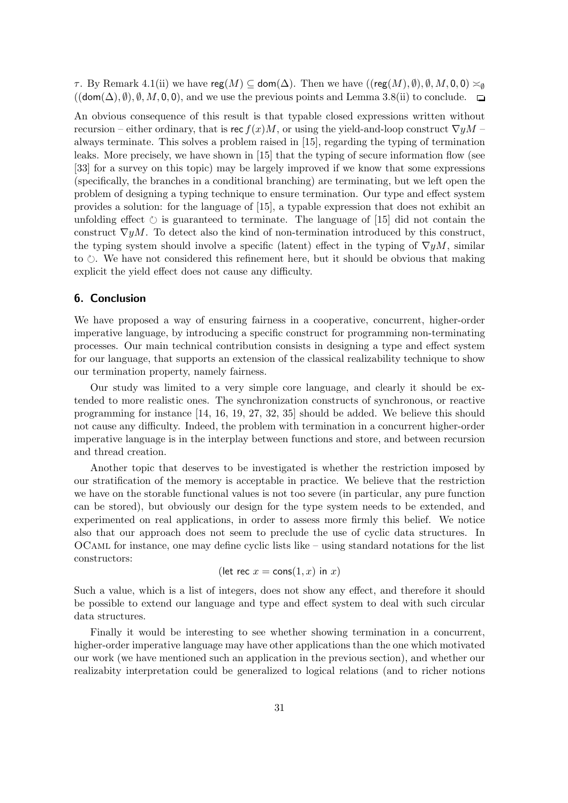$\tau$ . By Remark 4.1(ii) we have reg(M)  $\subseteq$  dom( $\Delta$ ). Then we have  $((reg(M), \emptyset), M, 0, 0) \geq_{\emptyset}$  $((\text{dom}(\Delta), \emptyset), \emptyset, M, 0, 0),$  and we use the previous points and Lemma 3.8(ii) to conclude.  $\Box$ 

An obvious consequence of this result is that typable closed expressions written without recursion – either ordinary, that is rec  $f(x)M$ , or using the yield-and-loop construct  $\nabla yM$  – always terminate. This solves a problem raised in [15], regarding the typing of termination leaks. More precisely, we have shown in [15] that the typing of secure information flow (see [33] for a survey on this topic) may be largely improved if we know that some expressions (specifically, the branches in a conditional branching) are terminating, but we left open the problem of designing a typing technique to ensure termination. Our type and effect system provides a solution: for the language of [15], a typable expression that does not exhibit an unfolding effect  $\circlearrowright$  is guaranteed to terminate. The language of [15] did not contain the construct  $\nabla yM$ . To detect also the kind of non-termination introduced by this construct, the typing system should involve a specific (latent) effect in the typing of  $\nabla yM$ , similar to  $\circlearrowright$ . We have not considered this refinement here, but it should be obvious that making explicit the yield effect does not cause any difficulty.

#### 6. Conclusion

We have proposed a way of ensuring fairness in a cooperative, concurrent, higher-order imperative language, by introducing a specific construct for programming non-terminating processes. Our main technical contribution consists in designing a type and effect system for our language, that supports an extension of the classical realizability technique to show our termination property, namely fairness.

Our study was limited to a very simple core language, and clearly it should be extended to more realistic ones. The synchronization constructs of synchronous, or reactive programming for instance [14, 16, 19, 27, 32, 35] should be added. We believe this should not cause any difficulty. Indeed, the problem with termination in a concurrent higher-order imperative language is in the interplay between functions and store, and between recursion and thread creation.

Another topic that deserves to be investigated is whether the restriction imposed by our stratification of the memory is acceptable in practice. We believe that the restriction we have on the storable functional values is not too severe (in particular, any pure function can be stored), but obviously our design for the type system needs to be extended, and experimented on real applications, in order to assess more firmly this belief. We notice also that our approach does not seem to preclude the use of cyclic data structures. In OCaml for instance, one may define cyclic lists like – using standard notations for the list constructors:

$$
(\text{let } \text{rec } x = \text{cons}(1, x) \text{ in } x)
$$

Such a value, which is a list of integers, does not show any effect, and therefore it should be possible to extend our language and type and effect system to deal with such circular data structures.

Finally it would be interesting to see whether showing termination in a concurrent, higher-order imperative language may have other applications than the one which motivated our work (we have mentioned such an application in the previous section), and whether our realizabity interpretation could be generalized to logical relations (and to richer notions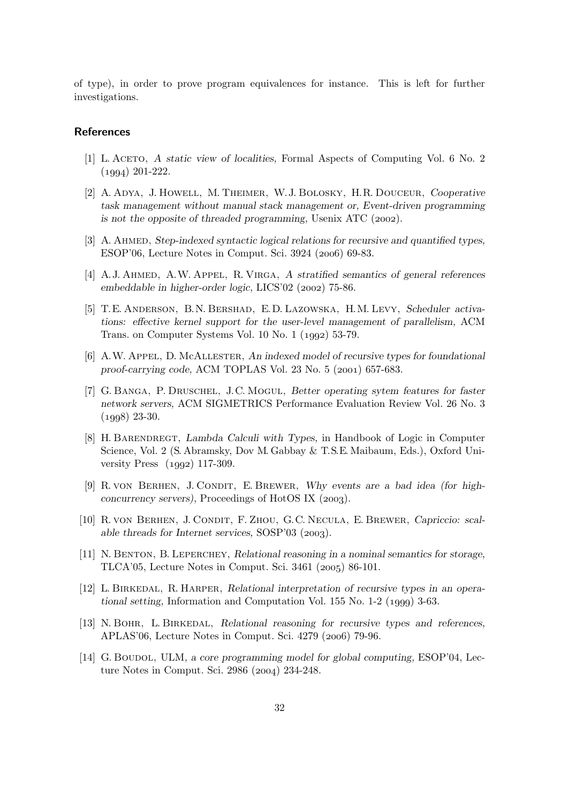of type), in order to prove program equivalences for instance. This is left for further investigations.

# References

- [1] L. Aceto, A static view of localities, Formal Aspects of Computing Vol. 6 No. 2  $(1994)$  201-222.
- [2] A. Adya, J. Howell, M. Theimer, W.J. Bolosky, H.R. Douceur, Cooperative task management without manual stack management or, Event-driven programming is not the opposite of threaded programming, Usenix ATC  $(2002)$ .
- [3] A. AHMED, Step-indexed syntactic logical relations for recursive and quantified types, ESOP'06, Lecture Notes in Comput. Sci.  $3924$  (2006) 69-83.
- [4] A.J. Ahmed, A.W. Appel, R. Virga, A stratified semantics of general references embeddable in higher-order logic, LICS'02  $(2002)$  75-86.
- [5] T.E. Anderson, B.N. Bershad, E.D. Lazowska, H.M. Levy, Scheduler activations: effective kernel support for the user-level management of parallelism, ACM Trans. on Computer Systems Vol.  $10$  No.  $1$  ( $1992$ ) 53-79.
- [6] A.W. Appel, D. McAllester, An indexed model of recursive types for foundational proof-carrying code, ACM TOPLAS Vol. 23 No. 5 (2001) 657-683.
- [7] G. Banga, P. Druschel, J.C. Mogul, Better operating sytem features for faster network servers, ACM SIGMETRICS Performance Evaluation Review Vol. 26 No. 3  $(1998)$  23-30.
- [8] H. Barendregt, Lambda Calculi with Types, in Handbook of Logic in Computer Science, Vol. 2 (S. Abramsky, Dov M. Gabbay & T.S.E. Maibaum, Eds.), Oxford University Press  $(1992)$  117-309.
- [9] R. von Berhen, J. Condit, E. Brewer, Why events are a bad idea (for highconcurrency servers), Proceedings of HotOS IX  $(2003)$ .
- [10] R. von BERHEN, J. CONDIT, F. ZHOU, G.C. NECULA, E. BREWER, Capriccio: scalable threads for Internet services,  $SOSP'03$  (2003).
- [11] N. Benton, B. Leperchey, Relational reasoning in a nominal semantics for storage, TLCA'05, Lecture Notes in Comput. Sci. 3461 ( $2005$ ) 86-101.
- [12] L. BIRKEDAL, R. HARPER, Relational interpretation of recursive types in an operational setting, Information and Computation Vol.  $155$  No.  $1-2$  (1999) 3-63.
- [13] N. BOHR, L. BIRKEDAL, Relational reasoning for recursive types and references, APLAS'06, Lecture Notes in Comput. Sci. 4279 (2006) 79-96.
- [14] G. BOUDOL, ULM, a core programming model for global computing, ESOP'04, Lecture Notes in Comput. Sci.  $2986$  ( $2004$ )  $234-248$ .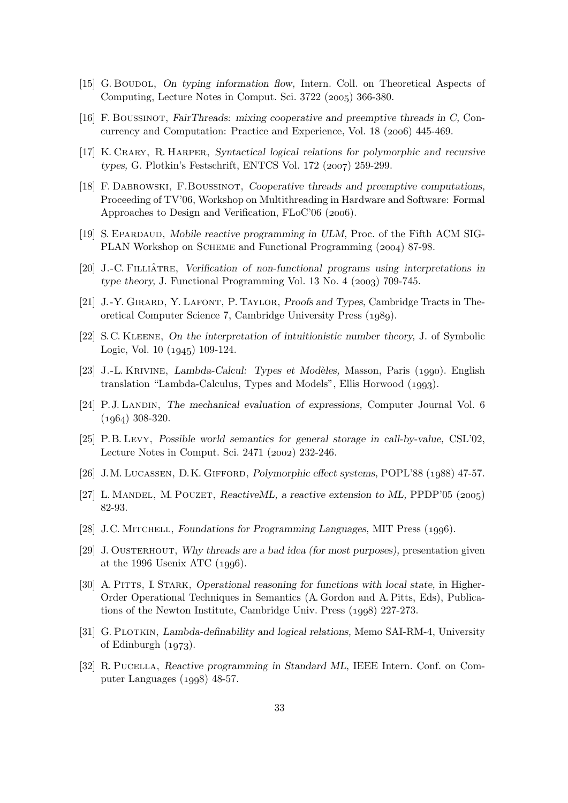- [15] G. Boudol, On typing information flow, Intern. Coll. on Theoretical Aspects of Computing, Lecture Notes in Comput. Sci.  $3722$  ( $2005$ )  $366-380$ .
- [16] F. Boussinot, FairThreads: mixing cooperative and preemptive threads in C, Concurrency and Computation: Practice and Experience, Vol.  $18$  ( $2006$ )  $445-469$ .
- [17] K. Crary, R. Harper, Syntactical logical relations for polymorphic and recursive types, G. Plotkin's Festschrift, ENTCS Vol.  $172$  ( $2007$ )  $259-299$ .
- [18] F. DABROWSKI, F. BOUSSINOT, Cooperative threads and preemptive computations, Proceeding of TV'06, Workshop on Multithreading in Hardware and Software: Formal Approaches to Design and Verification,  $FLoC'06$  (2006).
- [19] S. Epardaud, Mobile reactive programming in ULM, Proc. of the Fifth ACM SIG-PLAN Workshop on SCHEME and Functional Programming (2004) 87-98.
- [20] J.-C. FILLIÂTRE, Verification of non-functional programs using interpretations in type theory, J. Functional Programming Vol. 13 No. 4  $(2003)$  709-745.
- [21] J.-Y. Girard, Y. Lafont, P. Taylor, Proofs and Types, Cambridge Tracts in Theoretical Computer Science 7, Cambridge University Press (1989).
- [22] S.C. Kleene, On the interpretation of intuitionistic number theory, J. of Symbolic Logic, Vol.  $10 \ (1945) \ 109-124$ .
- [23] J.-L. KRIVINE, Lambda-Calcul: Types et Modèles, Masson, Paris (1990). English translation "Lambda-Calculus, Types and Models", Ellis Horwood (1993).
- [24] P.J. LANDIN, The mechanical evaluation of expressions, Computer Journal Vol. 6  $(1964)$  308-320.
- [25] P.B. Levy, Possible world semantics for general storage in call-by-value, CSL'02, Lecture Notes in Comput. Sci. 2471 (2002) 232-246.
- [26] J.M. Lucassen, D.K. GIFFORD, Polymorphic effect systems, POPL'88 (1988) 47-57.
- [27] L. MANDEL, M. POUZET, ReactiveML, a reactive extension to ML, PPDP'05 (2005) 82-93.
- [28] J.C. MITCHELL, Foundations for Programming Languages, MIT Press  $(1996)$ .
- [29] J. OUSTERHOUT, Why threads are a bad idea (for most purposes), presentation given at the 1996 Usenix ATC  $(1996)$ .
- [30] A. PITTS, I. STARK, Operational reasoning for functions with local state, in Higher-Order Operational Techniques in Semantics (A. Gordon and A. Pitts, Eds), Publications of the Newton Institute, Cambridge Univ. Press  $(1998)$  227-273.
- [31] G. PLOTKIN, Lambda-definability and logical relations, Memo SAI-RM-4, University of Edinburgh  $(1973)$ .
- [32] R. Pucella, Reactive programming in Standard ML, IEEE Intern. Conf. on Computer Languages  $(1998)$  48-57.